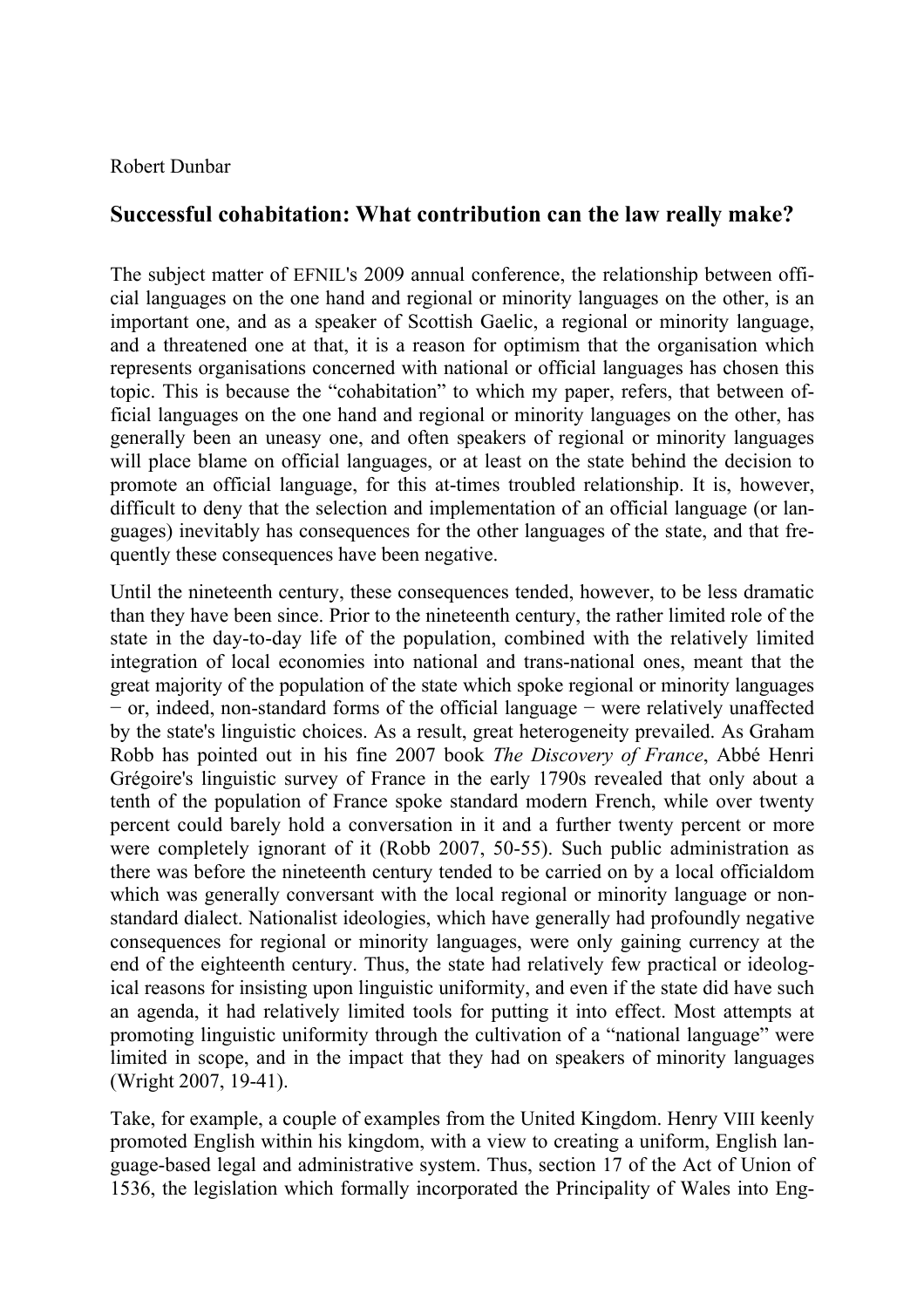## Robert Dunbar

## **Successful cohabitation: What contribution can the law really make?**

The subject matter of EFNIL's 2009 annual conference, the relationship between official languages on the one hand and regional or minority languages on the other, is an important one, and as a speaker of Scottish Gaelic, a regional or minority language, and a threatened one at that, it is a reason for optimism that the organisation which represents organisations concerned with national or official languages has chosen this topic. This is because the "cohabitation" to which my paper, refers, that between official languages on the one hand and regional or minority languages on the other, has generally been an uneasy one, and often speakers of regional or minority languages will place blame on official languages, or at least on the state behind the decision to promote an official language, for this at-times troubled relationship. It is, however, difficult to deny that the selection and implementation of an official language (or languages) inevitably has consequences for the other languages of the state, and that frequently these consequences have been negative.

Until the nineteenth century, these consequences tended, however, to be less dramatic than they have been since. Prior to the nineteenth century, the rather limited role of the state in the day-to-day life of the population, combined with the relatively limited integration of local economies into national and trans-national ones, meant that the great majority of the population of the state which spoke regional or minority languages − or, indeed, non-standard forms of the official language − were relatively unaffected by the state's linguistic choices. As a result, great heterogeneity prevailed. As Graham Robb has pointed out in his fine 2007 book *The Discovery of France*, Abbé Henri Grégoire's linguistic survey of France in the early 1790s revealed that only about a tenth of the population of France spoke standard modern French, while over twenty percent could barely hold a conversation in it and a further twenty percent or more were completely ignorant of it (Robb 2007, 50-55). Such public administration as there was before the nineteenth century tended to be carried on by a local officialdom which was generally conversant with the local regional or minority language or nonstandard dialect. Nationalist ideologies, which have generally had profoundly negative consequences for regional or minority languages, were only gaining currency at the end of the eighteenth century. Thus, the state had relatively few practical or ideological reasons for insisting upon linguistic uniformity, and even if the state did have such an agenda, it had relatively limited tools for putting it into effect. Most attempts at promoting linguistic uniformity through the cultivation of a "national language" were limited in scope, and in the impact that they had on speakers of minority languages (Wright 2007, 19-41).

Take, for example, a couple of examples from the United Kingdom. Henry VIII keenly promoted English within his kingdom, with a view to creating a uniform, English language-based legal and administrative system. Thus, section 17 of the Act of Union of 1536, the legislation which formally incorporated the Principality of Wales into Eng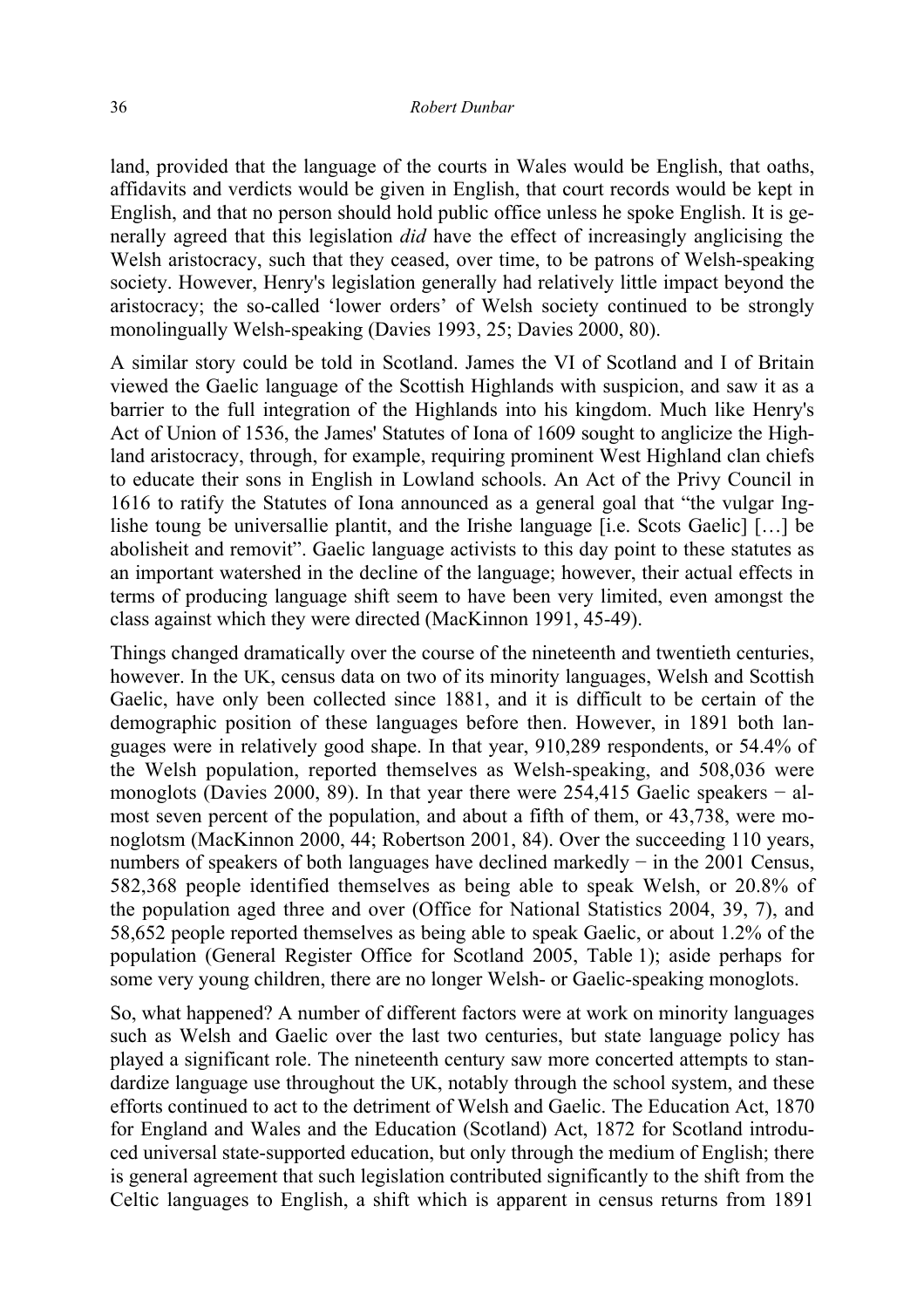land, provided that the language of the courts in Wales would be English, that oaths, affidavits and verdicts would be given in English, that court records would be kept in English, and that no person should hold public office unless he spoke English. It is generally agreed that this legislation *did* have the effect of increasingly anglicising the Welsh aristocracy, such that they ceased, over time, to be patrons of Welsh-speaking society. However, Henry's legislation generally had relatively little impact beyond the aristocracy; the so-called 'lower orders' of Welsh society continued to be strongly monolingually Welsh-speaking (Davies 1993, 25; Davies 2000, 80).

A similar story could be told in Scotland. James the VI of Scotland and I of Britain viewed the Gaelic language of the Scottish Highlands with suspicion, and saw it as a barrier to the full integration of the Highlands into his kingdom. Much like Henry's Act of Union of 1536, the James' Statutes of Iona of 1609 sought to anglicize the Highland aristocracy, through, for example, requiring prominent West Highland clan chiefs to educate their sons in English in Lowland schools. An Act of the Privy Council in 1616 to ratify the Statutes of Iona announced as a general goal that "the vulgar Inglishe toung be universallie plantit, and the Irishe language [i.e. Scots Gaelic] […] be abolisheit and removit". Gaelic language activists to this day point to these statutes as an important watershed in the decline of the language; however, their actual effects in terms of producing language shift seem to have been very limited, even amongst the class against which they were directed (MacKinnon 1991, 45-49).

Things changed dramatically over the course of the nineteenth and twentieth centuries, however. In the UK, census data on two of its minority languages, Welsh and Scottish Gaelic, have only been collected since 1881, and it is difficult to be certain of the demographic position of these languages before then. However, in 1891 both languages were in relatively good shape. In that year, 910,289 respondents, or 54.4% of the Welsh population, reported themselves as Welsh-speaking, and 508,036 were monoglots (Davies 2000, 89). In that year there were 254,415 Gaelic speakers − almost seven percent of the population, and about a fifth of them, or 43,738, were monoglotsm (MacKinnon 2000, 44; Robertson 2001, 84). Over the succeeding 110 years, numbers of speakers of both languages have declined markedly − in the 2001 Census, 582,368 people identified themselves as being able to speak Welsh, or 20.8% of the population aged three and over (Office for National Statistics 2004, 39, 7), and 58,652 people reported themselves as being able to speak Gaelic, or about 1.2% of the population (General Register Office for Scotland 2005, Table 1); aside perhaps for some very young children, there are no longer Welsh- or Gaelic-speaking monoglots.

So, what happened? A number of different factors were at work on minority languages such as Welsh and Gaelic over the last two centuries, but state language policy has played a significant role. The nineteenth century saw more concerted attempts to standardize language use throughout the UK, notably through the school system, and these efforts continued to act to the detriment of Welsh and Gaelic. The Education Act, 1870 for England and Wales and the Education (Scotland) Act, 1872 for Scotland introduced universal state-supported education, but only through the medium of English; there is general agreement that such legislation contributed significantly to the shift from the Celtic languages to English, a shift which is apparent in census returns from 1891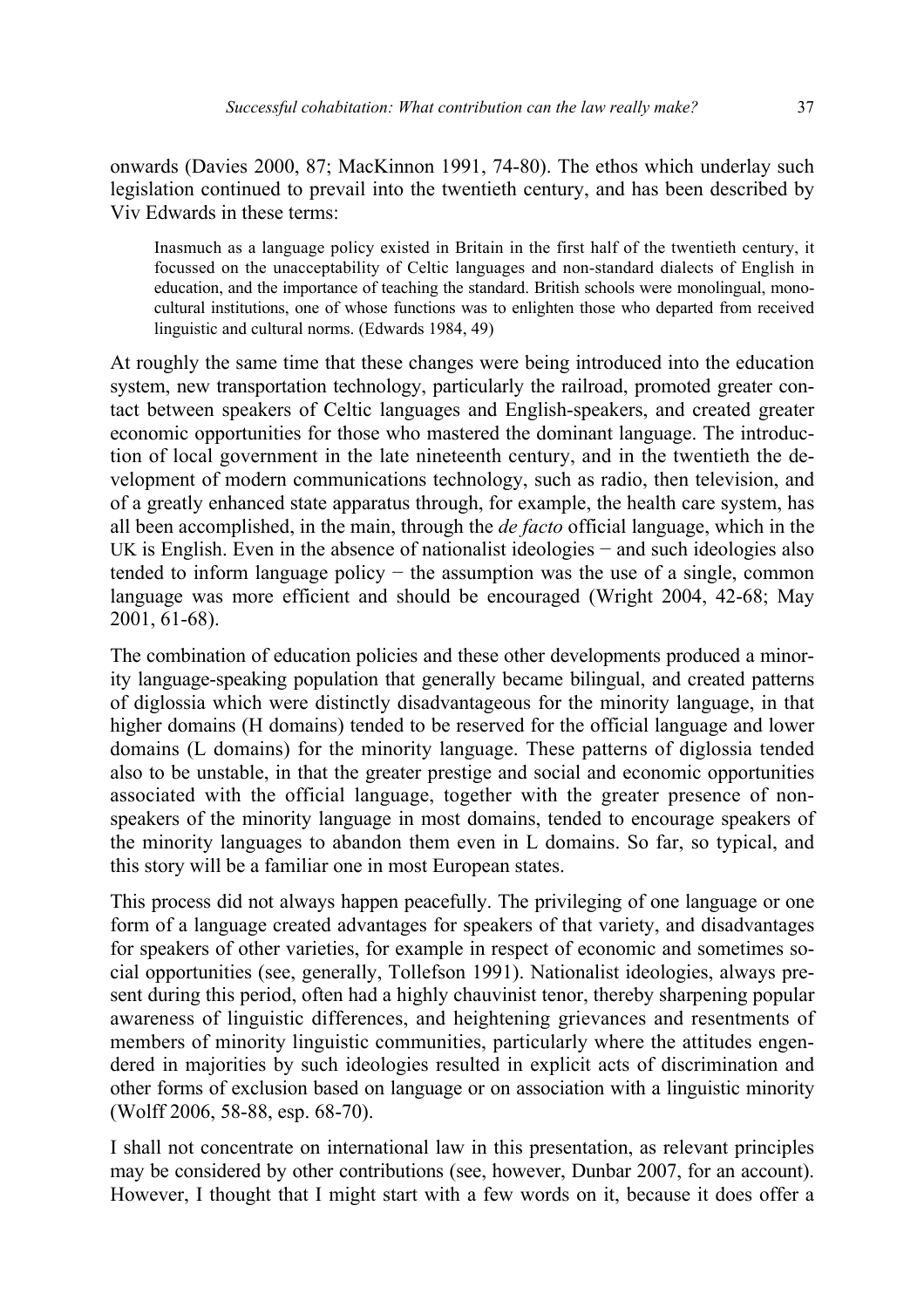onwards (Davies 2000, 87; MacKinnon 1991, 74-80). The ethos which underlay such legislation continued to prevail into the twentieth century, and has been described by Viv Edwards in these terms:

Inasmuch as a language policy existed in Britain in the first half of the twentieth century, it focussed on the unacceptability of Celtic languages and non-standard dialects of English in education, and the importance of teaching the standard. British schools were monolingual, monocultural institutions, one of whose functions was to enlighten those who departed from received linguistic and cultural norms. (Edwards 1984, 49)

At roughly the same time that these changes were being introduced into the education system, new transportation technology, particularly the railroad, promoted greater contact between speakers of Celtic languages and English-speakers, and created greater economic opportunities for those who mastered the dominant language. The introduction of local government in the late nineteenth century, and in the twentieth the development of modern communications technology, such as radio, then television, and of a greatly enhanced state apparatus through, for example, the health care system, has all been accomplished, in the main, through the *de facto* official language, which in the UK is English. Even in the absence of nationalist ideologies − and such ideologies also tended to inform language policy − the assumption was the use of a single, common language was more efficient and should be encouraged (Wright 2004, 42-68; May 2001, 61-68).

The combination of education policies and these other developments produced a minority language-speaking population that generally became bilingual, and created patterns of diglossia which were distinctly disadvantageous for the minority language, in that higher domains (H domains) tended to be reserved for the official language and lower domains (L domains) for the minority language. These patterns of diglossia tended also to be unstable, in that the greater prestige and social and economic opportunities associated with the official language, together with the greater presence of nonspeakers of the minority language in most domains, tended to encourage speakers of the minority languages to abandon them even in L domains. So far, so typical, and this story will be a familiar one in most European states.

This process did not always happen peacefully. The privileging of one language or one form of a language created advantages for speakers of that variety, and disadvantages for speakers of other varieties, for example in respect of economic and sometimes social opportunities (see, generally, Tollefson 1991). Nationalist ideologies, always present during this period, often had a highly chauvinist tenor, thereby sharpening popular awareness of linguistic differences, and heightening grievances and resentments of members of minority linguistic communities, particularly where the attitudes engendered in majorities by such ideologies resulted in explicit acts of discrimination and other forms of exclusion based on language or on association with a linguistic minority (Wolff 2006, 58-88, esp. 68-70).

I shall not concentrate on international law in this presentation, as relevant principles may be considered by other contributions (see, however, Dunbar 2007, for an account). However, I thought that I might start with a few words on it, because it does offer a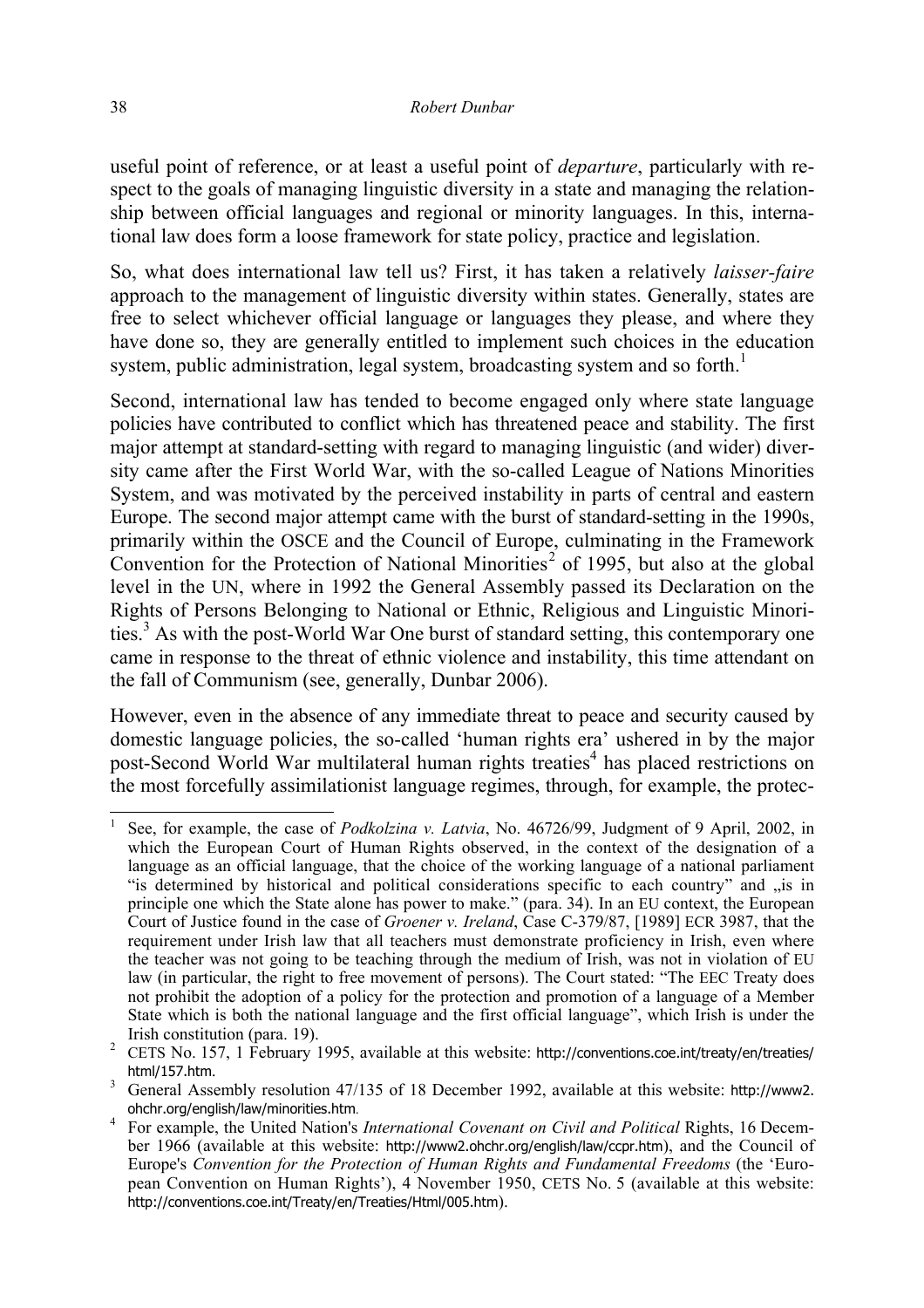useful point of reference, or at least a useful point of *departure*, particularly with respect to the goals of managing linguistic diversity in a state and managing the relationship between official languages and regional or minority languages. In this, international law does form a loose framework for state policy, practice and legislation.

So, what does international law tell us? First, it has taken a relatively *laisser-faire* approach to the management of linguistic diversity within states. Generally, states are free to select whichever official language or languages they please, and where they have done so, they are generally entitled to implement such choices in the education system, public administration, legal system, broadcasting system and so forth.<sup>1</sup>

Second, international law has tended to become engaged only where state language policies have contributed to conflict which has threatened peace and stability. The first major attempt at standard-setting with regard to managing linguistic (and wider) diversity came after the First World War, with the so-called League of Nations Minorities System, and was motivated by the perceived instability in parts of central and eastern Europe. The second major attempt came with the burst of standard-setting in the 1990s, primarily within the OSCE and the Council of Europe, culminating in the Framework Convention for the Protection of National Minorities<sup>2</sup> of 1995, but also at the global level in the UN, where in 1992 the General Assembly passed its Declaration on the Rights of Persons Belonging to National or Ethnic, Religious and Linguistic Minorities.<sup>3</sup> As with the post-World War One burst of standard setting, this contemporary one came in response to the threat of ethnic violence and instability, this time attendant on the fall of Communism (see, generally, Dunbar 2006).

However, even in the absence of any immediate threat to peace and security caused by domestic language policies, the so-called 'human rights era' ushered in by the major post-Second World War multilateral human rights treaties<sup>4</sup> has placed restrictions on the most forcefully assimilationist language regimes, through, for example, the protec-

 $\overline{a}$ 1 See, for example, the case of *Podkolzina v. Latvia*, No. 46726/99, Judgment of 9 April, 2002, in which the European Court of Human Rights observed, in the context of the designation of a language as an official language, that the choice of the working language of a national parliament "is determined by historical and political considerations specific to each country" and "is in principle one which the State alone has power to make." (para. 34). In an EU context, the European Court of Justice found in the case of *Groener v. Ireland*, Case C-379/87, [1989] ECR 3987, that the requirement under Irish law that all teachers must demonstrate proficiency in Irish, even where the teacher was not going to be teaching through the medium of Irish, was not in violation of EU law (in particular, the right to free movement of persons). The Court stated: "The EEC Treaty does not prohibit the adoption of a policy for the protection and promotion of a language of a Member State which is both the national language and the first official language", which Irish is under the

Irish constitution (para. 19).<br><sup>2</sup> CETS No. 157, 1 February 1995, available at this website: http://conventions.coe.int/treaty/en/treaties/ html/157.htm.<br><sup>3</sup> General Assembly resolution 47/135 of 18 December 1992, available at this website: http://www2.

ohchr.org/english/law/minorities.htm. 4 For example, the United Nation's *International Covenant on Civil and Political* Rights, 16 December 1966 (available at this website: http://www2.ohchr.org/english/law/ccpr.htm), and the Council of Europe's *Convention for the Protection of Human Rights and Fundamental Freedoms* (the 'European Convention on Human Rights'), 4 November 1950, CETS No. 5 (available at this website: http://conventions.coe.int/Treaty/en/Treaties/Html/005.htm).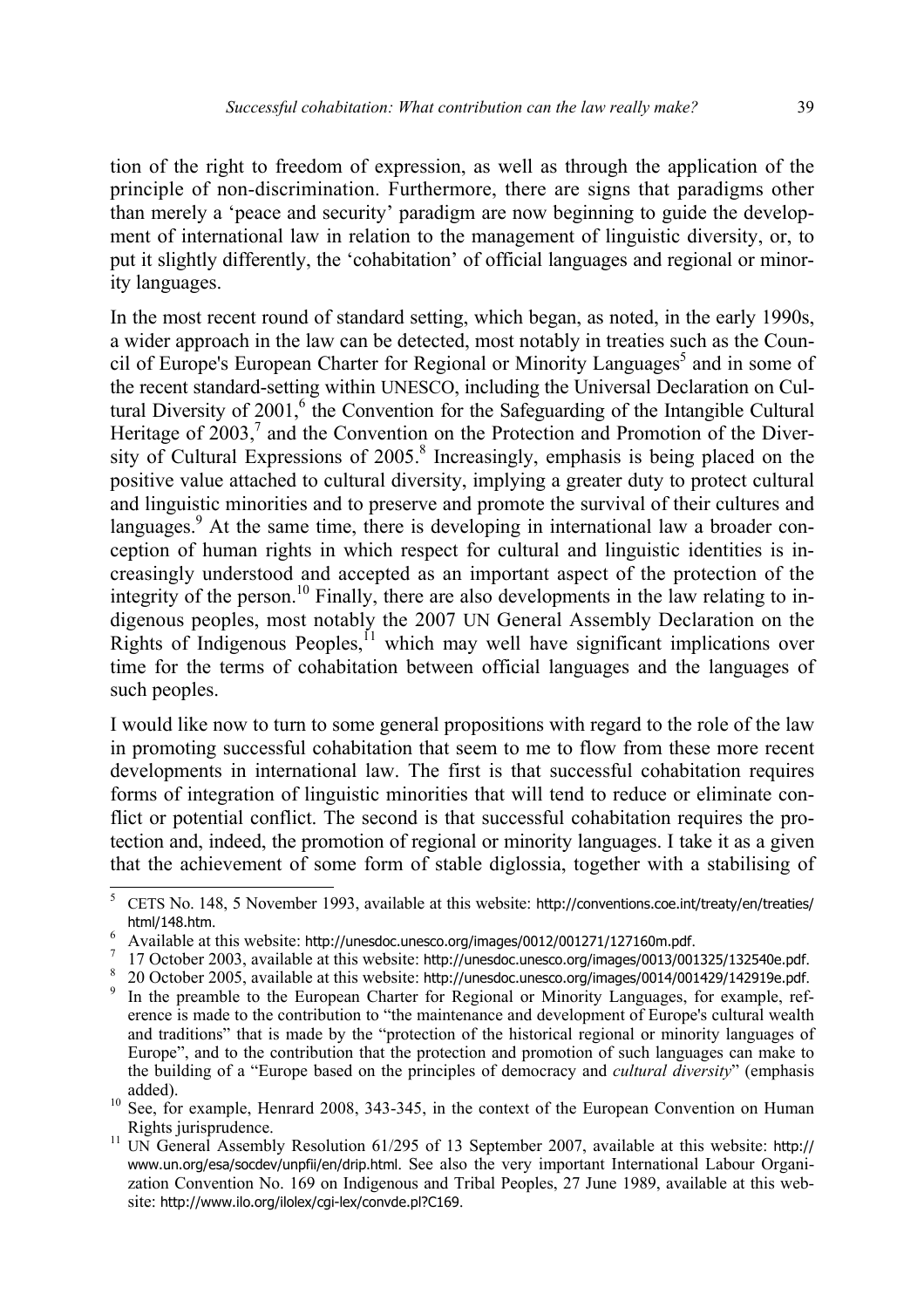tion of the right to freedom of expression, as well as through the application of the principle of non-discrimination. Furthermore, there are signs that paradigms other than merely a 'peace and security' paradigm are now beginning to guide the development of international law in relation to the management of linguistic diversity, or, to put it slightly differently, the 'cohabitation' of official languages and regional or minority languages.

In the most recent round of standard setting, which began, as noted, in the early 1990s, a wider approach in the law can be detected, most notably in treaties such as the Council of Europe's European Charter for Regional or Minority Languages<sup>5</sup> and in some of the recent standard-setting within UNESCO, including the Universal Declaration on Cultural Diversity of  $2001$ ,  $6$  the Convention for the Safeguarding of the Intangible Cultural Heritage of  $2003$ ,<sup>7</sup> and the Convention on the Protection and Promotion of the Diversity of Cultural Expressions of  $2005$ .<sup>8</sup> Increasingly, emphasis is being placed on the positive value attached to cultural diversity, implying a greater duty to protect cultural and linguistic minorities and to preserve and promote the survival of their cultures and languages.<sup>9</sup> At the same time, there is developing in international law a broader conception of human rights in which respect for cultural and linguistic identities is increasingly understood and accepted as an important aspect of the protection of the integrity of the person.<sup>10</sup> Finally, there are also developments in the law relating to indigenous peoples, most notably the 2007 UN General Assembly Declaration on the Rights of Indigenous Peoples,<sup> $11$ </sup> which may well have significant implications over time for the terms of cohabitation between official languages and the languages of such peoples.

I would like now to turn to some general propositions with regard to the role of the law in promoting successful cohabitation that seem to me to flow from these more recent developments in international law. The first is that successful cohabitation requires forms of integration of linguistic minorities that will tend to reduce or eliminate conflict or potential conflict. The second is that successful cohabitation requires the protection and, indeed, the promotion of regional or minority languages. I take it as a given that the achievement of some form of stable diglossia, together with a stabilising of

<sup>5</sup> CETS No. 148, 5 November 1993, available at this website: http://conventions.coe.int/treaty/en/treaties/ html/148.htm.<br> $6 \text{ A variable set } t$ 

Available at this website: http://unesdoc.unesco.org/images/0012/001271/127160m.pdf.  $7-17$  October 2003, evailable at this website: http://unesdoc.unesco.org/images/0012/0012/001

 <sup>17</sup> October 2003, available at this website: http://unesdoc.unesco.org/images/0013/001325/132540e.pdf. 8

<sup>&</sup>lt;sup>8</sup> 20 October 2005, available at this website: http://unesdoc.unesco.org/images/0014/001429/142919e.pdf.  $\frac{9}{2}$  In the preamble to the European Charter for Beginnal or Minority Languages, for example ref

In the preamble to the European Charter for Regional or Minority Languages, for example, reference is made to the contribution to "the maintenance and development of Europe's cultural wealth and traditions" that is made by the "protection of the historical regional or minority languages of Europe", and to the contribution that the protection and promotion of such languages can make to the building of a "Europe based on the principles of democracy and *cultural diversity*" (emphasis

added).<br><sup>10</sup> See, for example, Henrard 2008, 343-345, in the context of the European Convention on Human Rights jurisprudence.<br><sup>11</sup> UN General Assembly Resolution 61/295 of 13 September 2007, available at this website: http://

www.un.org/esa/socdev/unpfii/en/drip.html. See also the very important International Labour Organization Convention No. 169 on Indigenous and Tribal Peoples, 27 June 1989, available at this website: http://www.ilo.org/ilolex/cgi-lex/convde.pl?C169.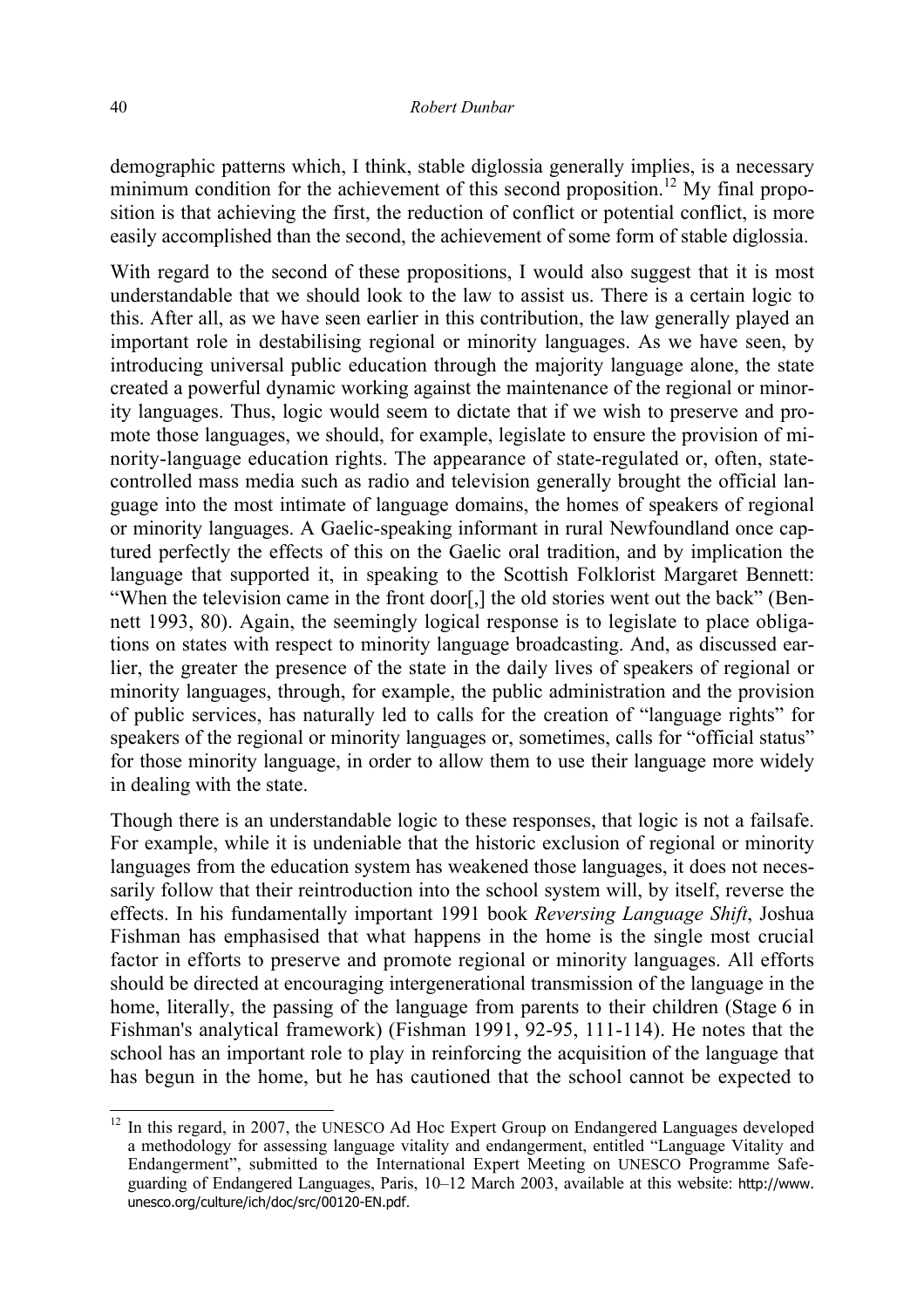demographic patterns which, I think, stable diglossia generally implies, is a necessary minimum condition for the achievement of this second proposition.<sup>12</sup> My final proposition is that achieving the first, the reduction of conflict or potential conflict, is more easily accomplished than the second, the achievement of some form of stable diglossia.

With regard to the second of these propositions, I would also suggest that it is most understandable that we should look to the law to assist us. There is a certain logic to this. After all, as we have seen earlier in this contribution, the law generally played an important role in destabilising regional or minority languages. As we have seen, by introducing universal public education through the majority language alone, the state created a powerful dynamic working against the maintenance of the regional or minority languages. Thus, logic would seem to dictate that if we wish to preserve and promote those languages, we should, for example, legislate to ensure the provision of minority-language education rights. The appearance of state-regulated or, often, statecontrolled mass media such as radio and television generally brought the official language into the most intimate of language domains, the homes of speakers of regional or minority languages. A Gaelic-speaking informant in rural Newfoundland once captured perfectly the effects of this on the Gaelic oral tradition, and by implication the language that supported it, in speaking to the Scottish Folklorist Margaret Bennett: "When the television came in the front door[,] the old stories went out the back" (Bennett 1993, 80). Again, the seemingly logical response is to legislate to place obligations on states with respect to minority language broadcasting. And, as discussed earlier, the greater the presence of the state in the daily lives of speakers of regional or minority languages, through, for example, the public administration and the provision of public services, has naturally led to calls for the creation of "language rights" for speakers of the regional or minority languages or, sometimes, calls for "official status" for those minority language, in order to allow them to use their language more widely in dealing with the state.

Though there is an understandable logic to these responses, that logic is not a failsafe. For example, while it is undeniable that the historic exclusion of regional or minority languages from the education system has weakened those languages, it does not necessarily follow that their reintroduction into the school system will, by itself, reverse the effects. In his fundamentally important 1991 book *Reversing Language Shift*, Joshua Fishman has emphasised that what happens in the home is the single most crucial factor in efforts to preserve and promote regional or minority languages. All efforts should be directed at encouraging intergenerational transmission of the language in the home, literally, the passing of the language from parents to their children (Stage 6 in Fishman's analytical framework) (Fishman 1991, 92-95, 111-114). He notes that the school has an important role to play in reinforcing the acquisition of the language that has begun in the home, but he has cautioned that the school cannot be expected to

 $12$  In this regard, in 2007, the UNESCO Ad Hoc Expert Group on Endangered Languages developed a methodology for assessing language vitality and endangerment, entitled "Language Vitality and Endangerment", submitted to the International Expert Meeting on UNESCO Programme Safeguarding of Endangered Languages, Paris, 10–12 March 2003, available at this website: http://www. unesco.org/culture/ich/doc/src/00120-EN.pdf.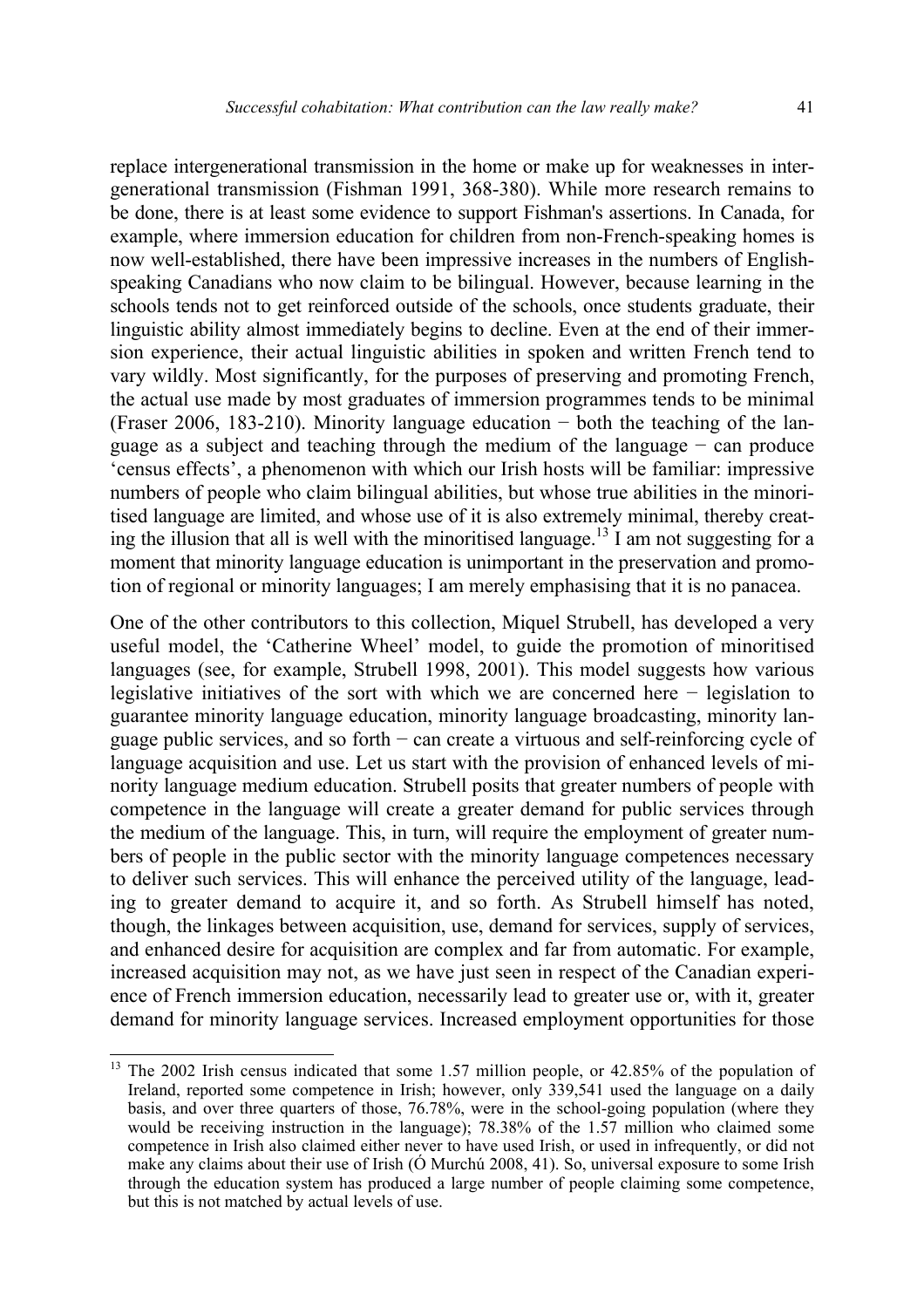replace intergenerational transmission in the home or make up for weaknesses in intergenerational transmission (Fishman 1991, 368-380). While more research remains to be done, there is at least some evidence to support Fishman's assertions. In Canada, for example, where immersion education for children from non-French-speaking homes is now well-established, there have been impressive increases in the numbers of Englishspeaking Canadians who now claim to be bilingual. However, because learning in the schools tends not to get reinforced outside of the schools, once students graduate, their linguistic ability almost immediately begins to decline. Even at the end of their immersion experience, their actual linguistic abilities in spoken and written French tend to vary wildly. Most significantly, for the purposes of preserving and promoting French, the actual use made by most graduates of immersion programmes tends to be minimal (Fraser 2006, 183-210). Minority language education − both the teaching of the language as a subject and teaching through the medium of the language − can produce 'census effects', a phenomenon with which our Irish hosts will be familiar: impressive numbers of people who claim bilingual abilities, but whose true abilities in the minoritised language are limited, and whose use of it is also extremely minimal, thereby creating the illusion that all is well with the minoritised language.<sup>13</sup> I am not suggesting for a moment that minority language education is unimportant in the preservation and promotion of regional or minority languages; I am merely emphasising that it is no panacea.

One of the other contributors to this collection, Miquel Strubell, has developed a very useful model, the 'Catherine Wheel' model, to guide the promotion of minoritised languages (see, for example, Strubell 1998, 2001). This model suggests how various legislative initiatives of the sort with which we are concerned here − legislation to guarantee minority language education, minority language broadcasting, minority language public services, and so forth − can create a virtuous and self-reinforcing cycle of language acquisition and use. Let us start with the provision of enhanced levels of minority language medium education. Strubell posits that greater numbers of people with competence in the language will create a greater demand for public services through the medium of the language. This, in turn, will require the employment of greater numbers of people in the public sector with the minority language competences necessary to deliver such services. This will enhance the perceived utility of the language, leading to greater demand to acquire it, and so forth. As Strubell himself has noted, though, the linkages between acquisition, use, demand for services, supply of services, and enhanced desire for acquisition are complex and far from automatic. For example, increased acquisition may not, as we have just seen in respect of the Canadian experience of French immersion education, necessarily lead to greater use or, with it, greater demand for minority language services. Increased employment opportunities for those

<sup>&</sup>lt;sup>13</sup> The 2002 Irish census indicated that some 1.57 million people, or 42.85% of the population of Ireland, reported some competence in Irish; however, only 339,541 used the language on a daily basis, and over three quarters of those, 76.78%, were in the school-going population (where they would be receiving instruction in the language); 78.38% of the 1.57 million who claimed some competence in Irish also claimed either never to have used Irish, or used in infrequently, or did not make any claims about their use of Irish (Ó Murchú 2008, 41). So, universal exposure to some Irish through the education system has produced a large number of people claiming some competence, but this is not matched by actual levels of use.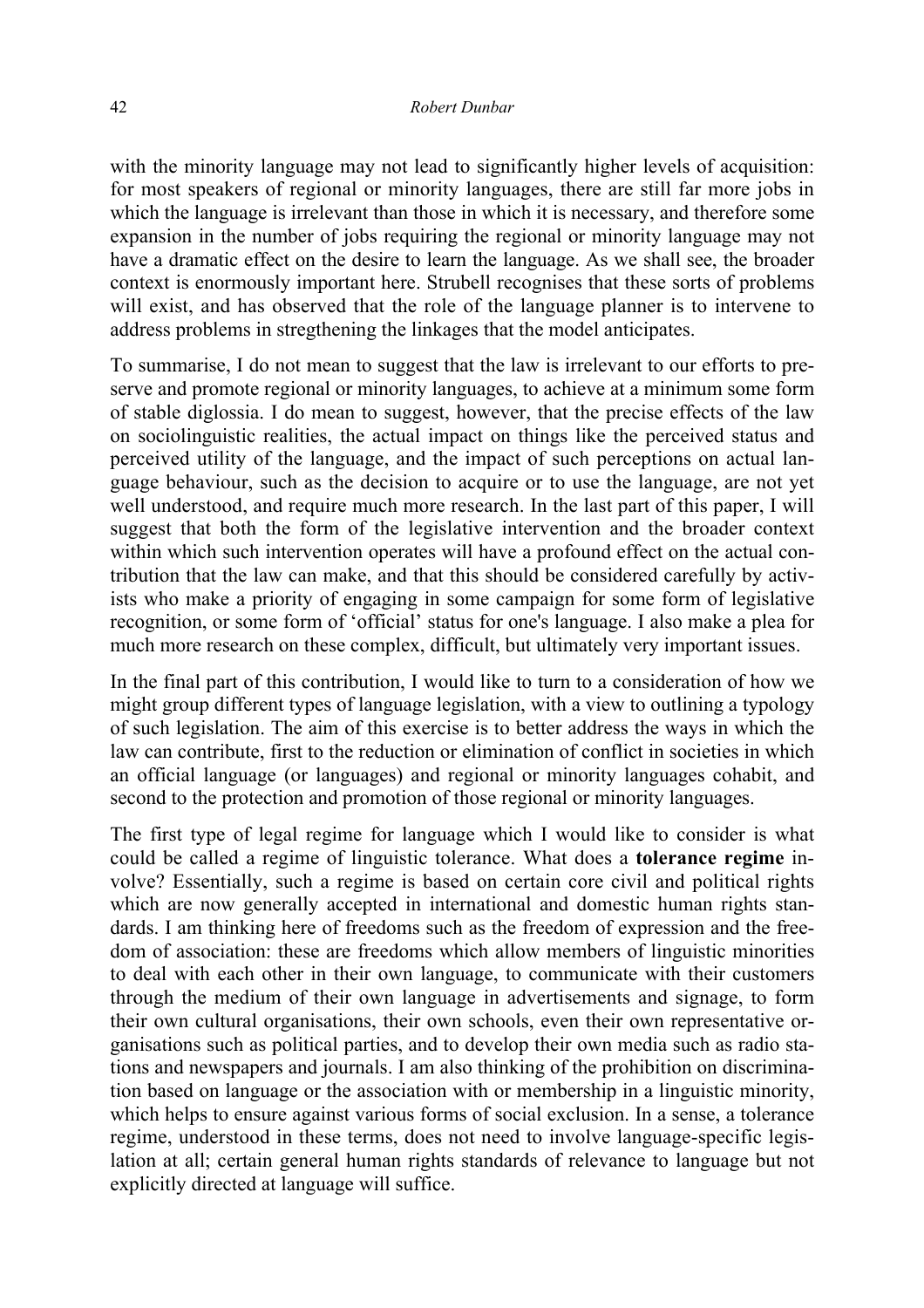with the minority language may not lead to significantly higher levels of acquisition: for most speakers of regional or minority languages, there are still far more jobs in which the language is irrelevant than those in which it is necessary, and therefore some expansion in the number of jobs requiring the regional or minority language may not have a dramatic effect on the desire to learn the language. As we shall see, the broader context is enormously important here. Strubell recognises that these sorts of problems will exist, and has observed that the role of the language planner is to intervene to address problems in stregthening the linkages that the model anticipates.

To summarise, I do not mean to suggest that the law is irrelevant to our efforts to preserve and promote regional or minority languages, to achieve at a minimum some form of stable diglossia. I do mean to suggest, however, that the precise effects of the law on sociolinguistic realities, the actual impact on things like the perceived status and perceived utility of the language, and the impact of such perceptions on actual language behaviour, such as the decision to acquire or to use the language, are not yet well understood, and require much more research. In the last part of this paper, I will suggest that both the form of the legislative intervention and the broader context within which such intervention operates will have a profound effect on the actual contribution that the law can make, and that this should be considered carefully by activists who make a priority of engaging in some campaign for some form of legislative recognition, or some form of 'official' status for one's language. I also make a plea for much more research on these complex, difficult, but ultimately very important issues.

In the final part of this contribution, I would like to turn to a consideration of how we might group different types of language legislation, with a view to outlining a typology of such legislation. The aim of this exercise is to better address the ways in which the law can contribute, first to the reduction or elimination of conflict in societies in which an official language (or languages) and regional or minority languages cohabit, and second to the protection and promotion of those regional or minority languages.

The first type of legal regime for language which I would like to consider is what could be called a regime of linguistic tolerance. What does a **tolerance regime** involve? Essentially, such a regime is based on certain core civil and political rights which are now generally accepted in international and domestic human rights standards. I am thinking here of freedoms such as the freedom of expression and the freedom of association: these are freedoms which allow members of linguistic minorities to deal with each other in their own language, to communicate with their customers through the medium of their own language in advertisements and signage, to form their own cultural organisations, their own schools, even their own representative organisations such as political parties, and to develop their own media such as radio stations and newspapers and journals. I am also thinking of the prohibition on discrimination based on language or the association with or membership in a linguistic minority, which helps to ensure against various forms of social exclusion. In a sense, a tolerance regime, understood in these terms, does not need to involve language-specific legislation at all; certain general human rights standards of relevance to language but not explicitly directed at language will suffice.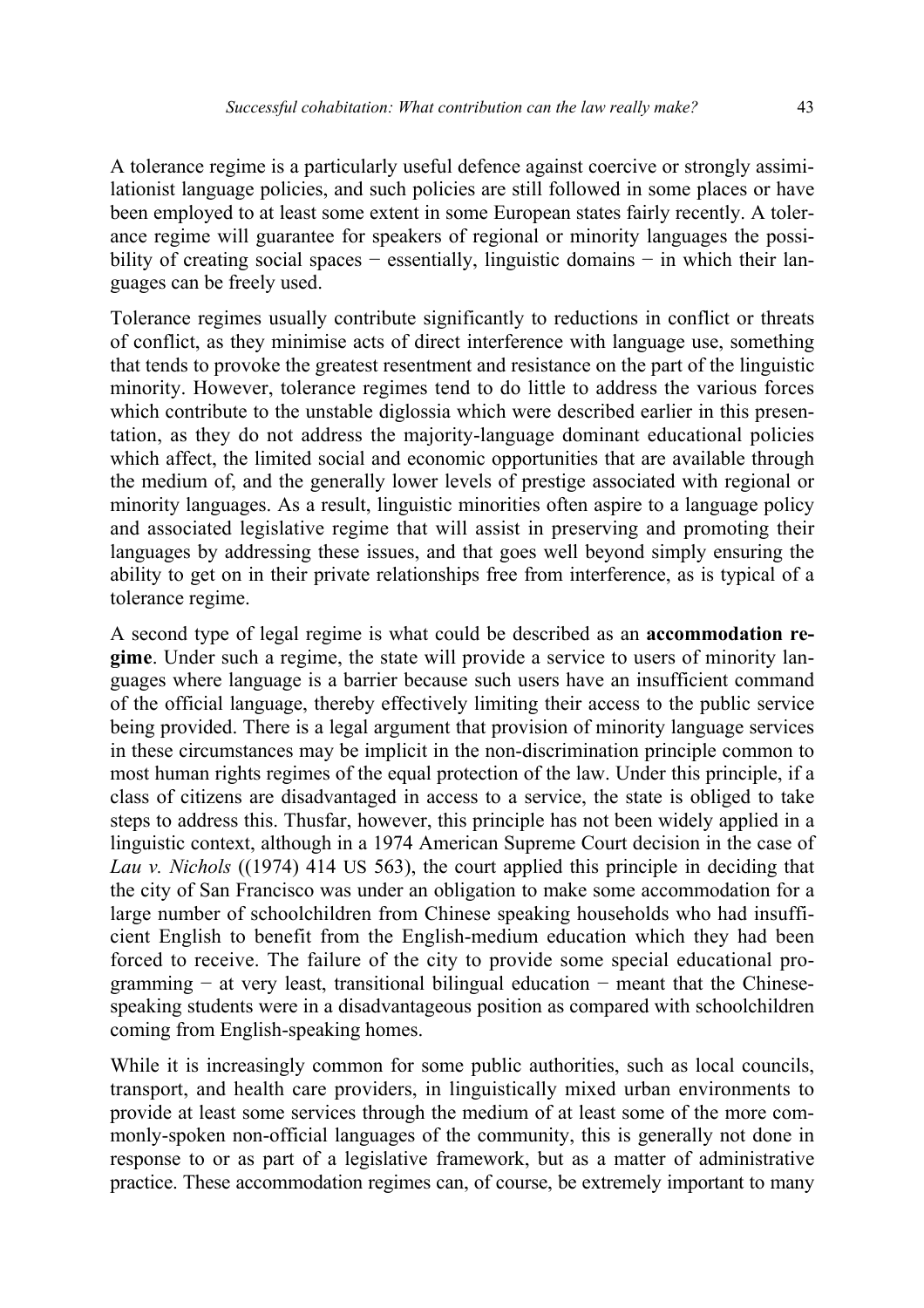A tolerance regime is a particularly useful defence against coercive or strongly assimilationist language policies, and such policies are still followed in some places or have been employed to at least some extent in some European states fairly recently. A tolerance regime will guarantee for speakers of regional or minority languages the possibility of creating social spaces − essentially, linguistic domains − in which their languages can be freely used.

Tolerance regimes usually contribute significantly to reductions in conflict or threats of conflict, as they minimise acts of direct interference with language use, something that tends to provoke the greatest resentment and resistance on the part of the linguistic minority. However, tolerance regimes tend to do little to address the various forces which contribute to the unstable diglossia which were described earlier in this presentation, as they do not address the majority-language dominant educational policies which affect, the limited social and economic opportunities that are available through the medium of, and the generally lower levels of prestige associated with regional or minority languages. As a result, linguistic minorities often aspire to a language policy and associated legislative regime that will assist in preserving and promoting their languages by addressing these issues, and that goes well beyond simply ensuring the ability to get on in their private relationships free from interference, as is typical of a tolerance regime.

A second type of legal regime is what could be described as an **accommodation regime**. Under such a regime, the state will provide a service to users of minority languages where language is a barrier because such users have an insufficient command of the official language, thereby effectively limiting their access to the public service being provided. There is a legal argument that provision of minority language services in these circumstances may be implicit in the non-discrimination principle common to most human rights regimes of the equal protection of the law. Under this principle, if a class of citizens are disadvantaged in access to a service, the state is obliged to take steps to address this. Thusfar, however, this principle has not been widely applied in a linguistic context, although in a 1974 American Supreme Court decision in the case of *Lau v. Nichols* ((1974) 414 US 563), the court applied this principle in deciding that the city of San Francisco was under an obligation to make some accommodation for a large number of schoolchildren from Chinese speaking households who had insufficient English to benefit from the English-medium education which they had been forced to receive. The failure of the city to provide some special educational programming − at very least, transitional bilingual education − meant that the Chinesespeaking students were in a disadvantageous position as compared with schoolchildren coming from English-speaking homes.

While it is increasingly common for some public authorities, such as local councils, transport, and health care providers, in linguistically mixed urban environments to provide at least some services through the medium of at least some of the more commonly-spoken non-official languages of the community, this is generally not done in response to or as part of a legislative framework, but as a matter of administrative practice. These accommodation regimes can, of course, be extremely important to many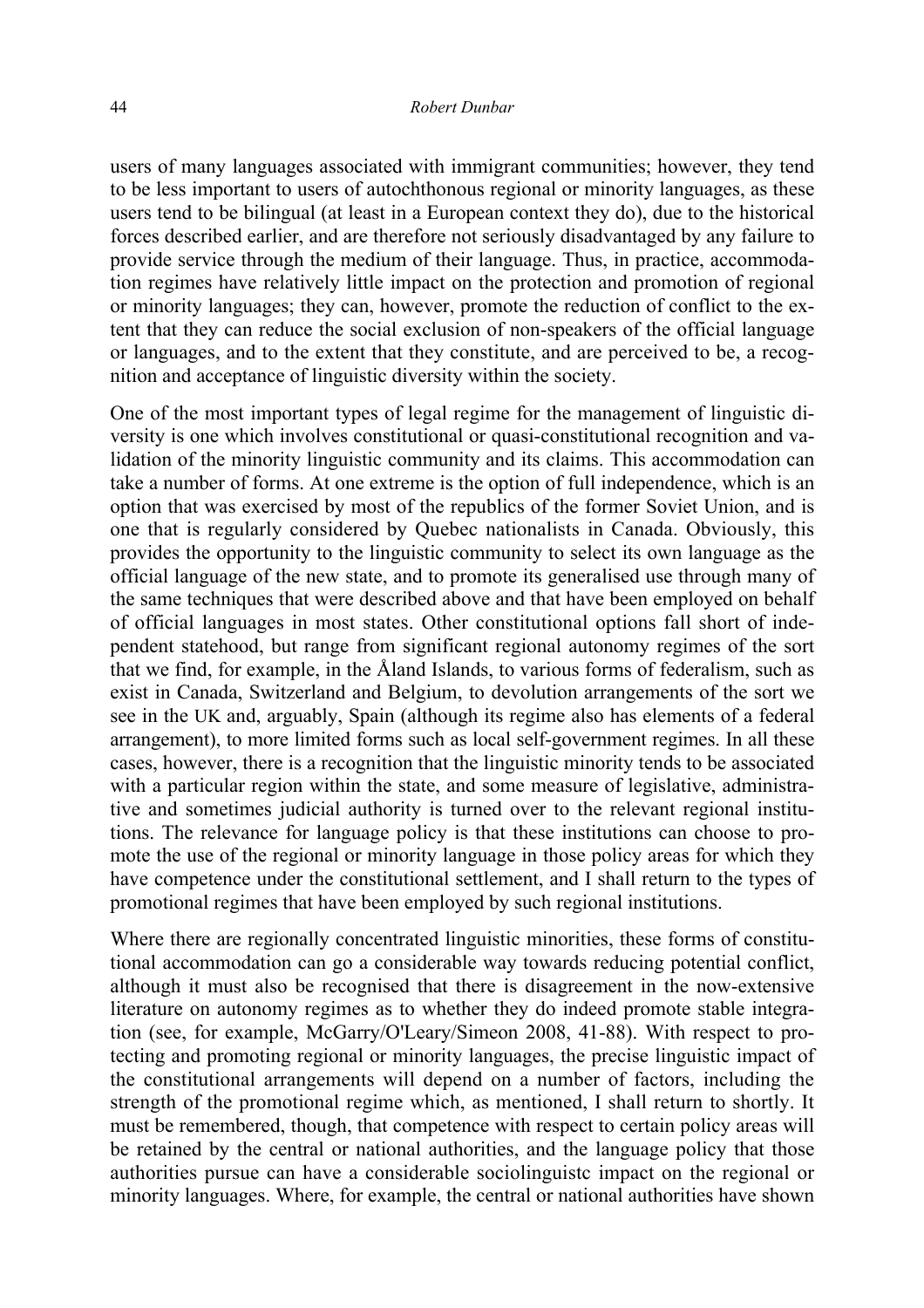users of many languages associated with immigrant communities; however, they tend to be less important to users of autochthonous regional or minority languages, as these users tend to be bilingual (at least in a European context they do), due to the historical forces described earlier, and are therefore not seriously disadvantaged by any failure to provide service through the medium of their language. Thus, in practice, accommodation regimes have relatively little impact on the protection and promotion of regional or minority languages; they can, however, promote the reduction of conflict to the extent that they can reduce the social exclusion of non-speakers of the official language or languages, and to the extent that they constitute, and are perceived to be, a recognition and acceptance of linguistic diversity within the society.

One of the most important types of legal regime for the management of linguistic diversity is one which involves constitutional or quasi-constitutional recognition and validation of the minority linguistic community and its claims. This accommodation can take a number of forms. At one extreme is the option of full independence, which is an option that was exercised by most of the republics of the former Soviet Union, and is one that is regularly considered by Quebec nationalists in Canada. Obviously, this provides the opportunity to the linguistic community to select its own language as the official language of the new state, and to promote its generalised use through many of the same techniques that were described above and that have been employed on behalf of official languages in most states. Other constitutional options fall short of independent statehood, but range from significant regional autonomy regimes of the sort that we find, for example, in the Åland Islands, to various forms of federalism, such as exist in Canada, Switzerland and Belgium, to devolution arrangements of the sort we see in the UK and, arguably, Spain (although its regime also has elements of a federal arrangement), to more limited forms such as local self-government regimes. In all these cases, however, there is a recognition that the linguistic minority tends to be associated with a particular region within the state, and some measure of legislative, administrative and sometimes judicial authority is turned over to the relevant regional institutions. The relevance for language policy is that these institutions can choose to promote the use of the regional or minority language in those policy areas for which they have competence under the constitutional settlement, and I shall return to the types of promotional regimes that have been employed by such regional institutions.

Where there are regionally concentrated linguistic minorities, these forms of constitutional accommodation can go a considerable way towards reducing potential conflict, although it must also be recognised that there is disagreement in the now-extensive literature on autonomy regimes as to whether they do indeed promote stable integration (see, for example, McGarry/O'Leary/Simeon 2008, 41-88). With respect to protecting and promoting regional or minority languages, the precise linguistic impact of the constitutional arrangements will depend on a number of factors, including the strength of the promotional regime which, as mentioned, I shall return to shortly. It must be remembered, though, that competence with respect to certain policy areas will be retained by the central or national authorities, and the language policy that those authorities pursue can have a considerable sociolinguistc impact on the regional or minority languages. Where, for example, the central or national authorities have shown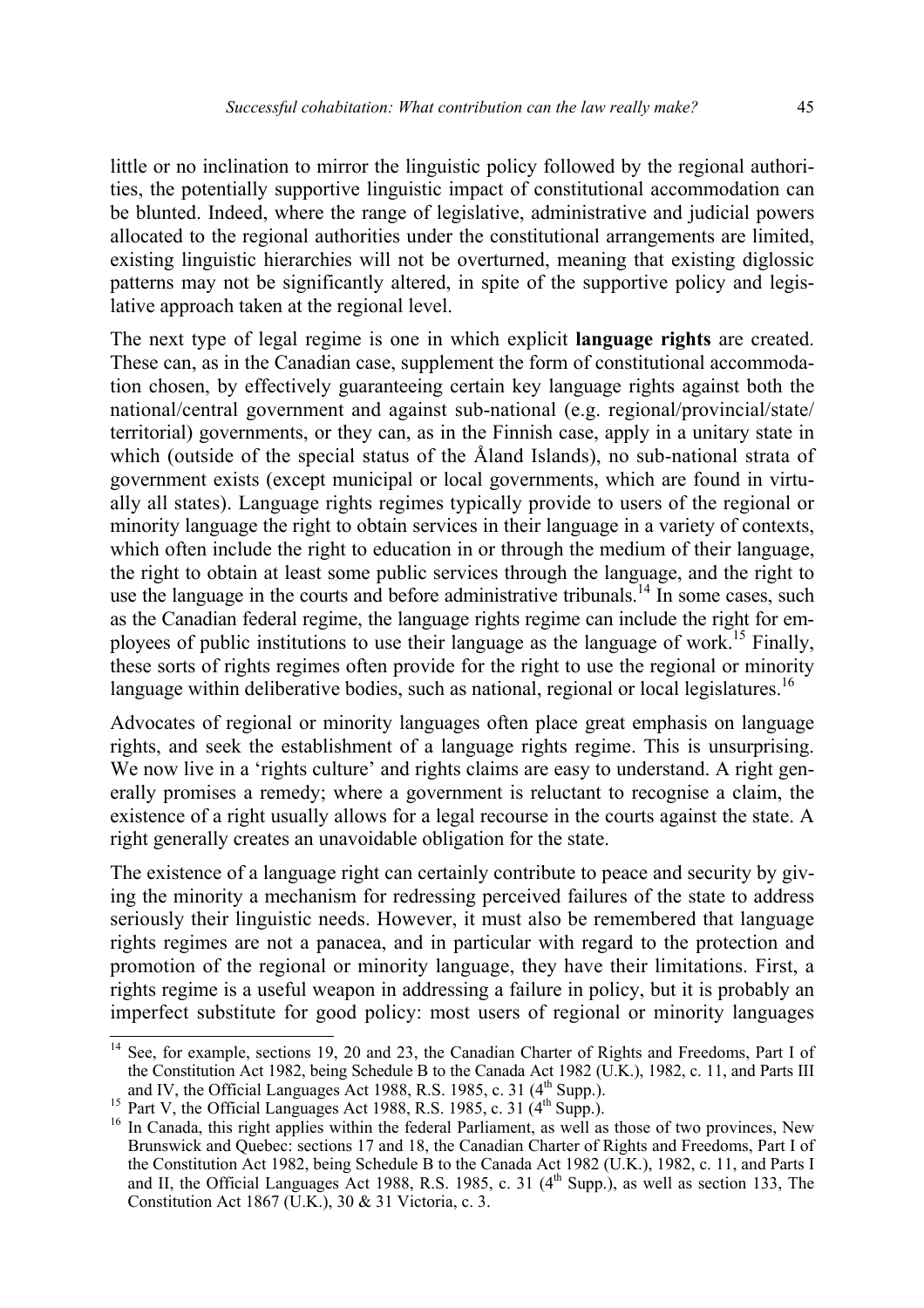little or no inclination to mirror the linguistic policy followed by the regional authorities, the potentially supportive linguistic impact of constitutional accommodation can be blunted. Indeed, where the range of legislative, administrative and judicial powers allocated to the regional authorities under the constitutional arrangements are limited, existing linguistic hierarchies will not be overturned, meaning that existing diglossic patterns may not be significantly altered, in spite of the supportive policy and legislative approach taken at the regional level.

The next type of legal regime is one in which explicit **language rights** are created. These can, as in the Canadian case, supplement the form of constitutional accommodation chosen, by effectively guaranteeing certain key language rights against both the national/central government and against sub-national (e.g. regional/provincial/state/ territorial) governments, or they can, as in the Finnish case, apply in a unitary state in which (outside of the special status of the Åland Islands), no sub-national strata of government exists (except municipal or local governments, which are found in virtually all states). Language rights regimes typically provide to users of the regional or minority language the right to obtain services in their language in a variety of contexts, which often include the right to education in or through the medium of their language, the right to obtain at least some public services through the language, and the right to use the language in the courts and before administrative tribunals.<sup>14</sup> In some cases, such as the Canadian federal regime, the language rights regime can include the right for employees of public institutions to use their language as the language of work.<sup>15</sup> Finally, these sorts of rights regimes often provide for the right to use the regional or minority language within deliberative bodies, such as national, regional or local legislatures.<sup>16</sup>

Advocates of regional or minority languages often place great emphasis on language rights, and seek the establishment of a language rights regime. This is unsurprising. We now live in a 'rights culture' and rights claims are easy to understand. A right generally promises a remedy; where a government is reluctant to recognise a claim, the existence of a right usually allows for a legal recourse in the courts against the state. A right generally creates an unavoidable obligation for the state.

The existence of a language right can certainly contribute to peace and security by giving the minority a mechanism for redressing perceived failures of the state to address seriously their linguistic needs. However, it must also be remembered that language rights regimes are not a panacea, and in particular with regard to the protection and promotion of the regional or minority language, they have their limitations. First, a rights regime is a useful weapon in addressing a failure in policy, but it is probably an imperfect substitute for good policy: most users of regional or minority languages

<sup>&</sup>lt;sup>14</sup> See, for example, sections 19, 20 and 23, the Canadian Charter of Rights and Freedoms, Part I of the Constitution Act 1982, being Schedule B to the Canada Act 1982 (U.K.), 1982, c. 11, and Parts III and IV, the Official Languages Act 1988, R.S. 1985, c. 31 (4<sup>th</sup> Supp.).<br><sup>15</sup> Part V, the Official Languages Act 1988, R.S. 1985, c. 31 (4<sup>th</sup> Supp.).<br><sup>15</sup> In Canada, this right applies within the federal Parliament, as we

Brunswick and Quebec: sections 17 and 18, the Canadian Charter of Rights and Freedoms, Part I of the Constitution Act 1982, being Schedule B to the Canada Act 1982 (U.K.), 1982, c. 11, and Parts I and II, the Official Languages Act 1988, R.S. 1985, c. 31  $(4<sup>th</sup>$  Supp.), as well as section 133, The Constitution Act 1867 (U.K.), 30 & 31 Victoria, c. 3.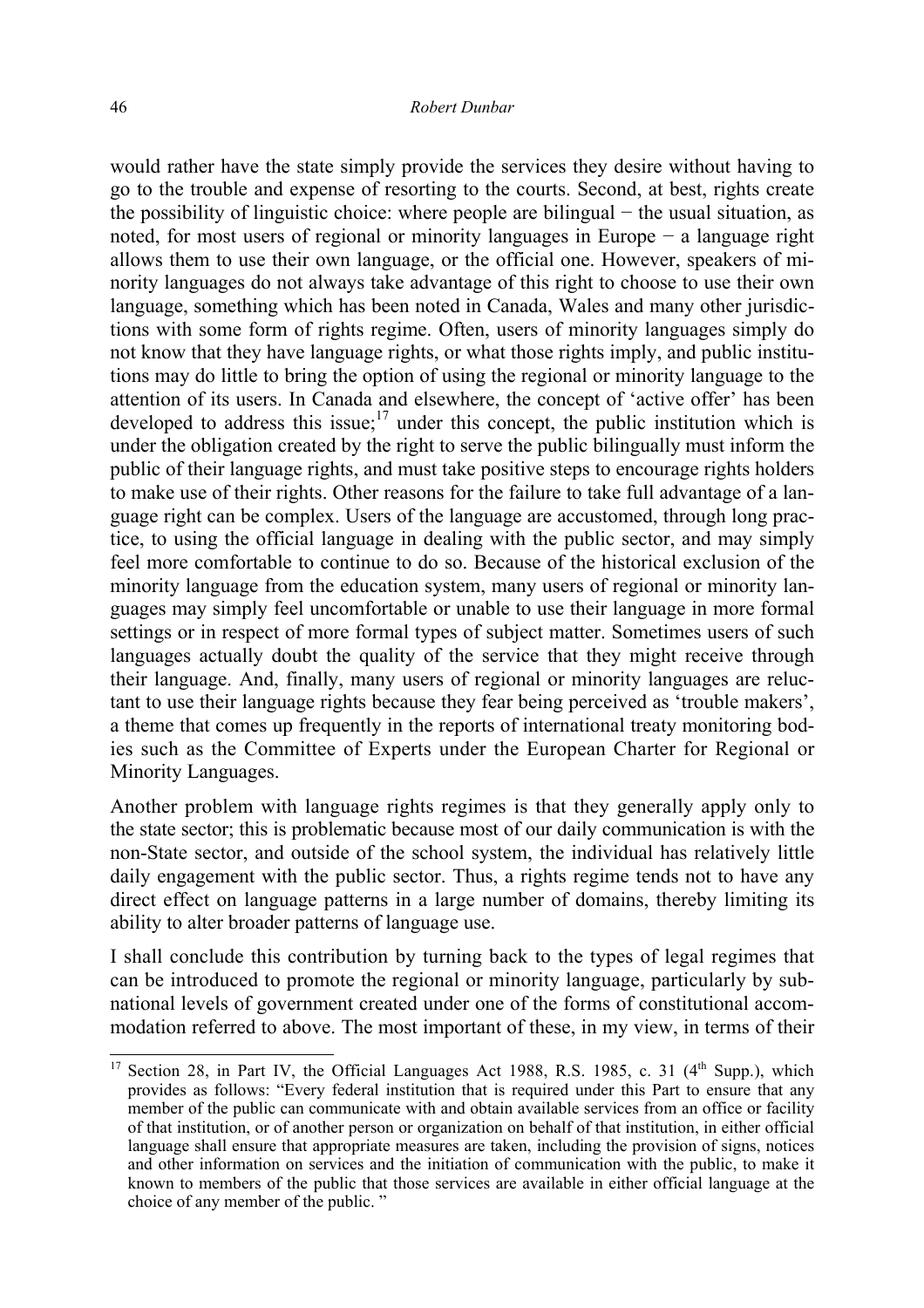would rather have the state simply provide the services they desire without having to go to the trouble and expense of resorting to the courts. Second, at best, rights create the possibility of linguistic choice: where people are bilingual − the usual situation, as noted, for most users of regional or minority languages in Europe − a language right allows them to use their own language, or the official one. However, speakers of minority languages do not always take advantage of this right to choose to use their own language, something which has been noted in Canada, Wales and many other jurisdictions with some form of rights regime. Often, users of minority languages simply do not know that they have language rights, or what those rights imply, and public institutions may do little to bring the option of using the regional or minority language to the attention of its users. In Canada and elsewhere, the concept of 'active offer' has been developed to address this issue; $17 \text{ under this concept, the public institution which is}$ under the obligation created by the right to serve the public bilingually must inform the public of their language rights, and must take positive steps to encourage rights holders to make use of their rights. Other reasons for the failure to take full advantage of a language right can be complex. Users of the language are accustomed, through long practice, to using the official language in dealing with the public sector, and may simply feel more comfortable to continue to do so. Because of the historical exclusion of the minority language from the education system, many users of regional or minority languages may simply feel uncomfortable or unable to use their language in more formal settings or in respect of more formal types of subject matter. Sometimes users of such languages actually doubt the quality of the service that they might receive through their language. And, finally, many users of regional or minority languages are reluctant to use their language rights because they fear being perceived as 'trouble makers', a theme that comes up frequently in the reports of international treaty monitoring bodies such as the Committee of Experts under the European Charter for Regional or Minority Languages.

Another problem with language rights regimes is that they generally apply only to the state sector; this is problematic because most of our daily communication is with the non-State sector, and outside of the school system, the individual has relatively little daily engagement with the public sector. Thus, a rights regime tends not to have any direct effect on language patterns in a large number of domains, thereby limiting its ability to alter broader patterns of language use.

I shall conclude this contribution by turning back to the types of legal regimes that can be introduced to promote the regional or minority language, particularly by subnational levels of government created under one of the forms of constitutional accommodation referred to above. The most important of these, in my view, in terms of their

<sup>&</sup>lt;sup>17</sup> Section 28, in Part IV, the Official Languages Act 1988, R.S. 1985, c. 31 ( $4<sup>th</sup>$  Supp.), which provides as follows: "Every federal institution that is required under this Part to ensure that any member of the public can communicate with and obtain available services from an office or facility of that institution, or of another person or organization on behalf of that institution, in either official language shall ensure that appropriate measures are taken, including the provision of signs, notices and other information on services and the initiation of communication with the public, to make it known to members of the public that those services are available in either official language at the choice of any member of the public. "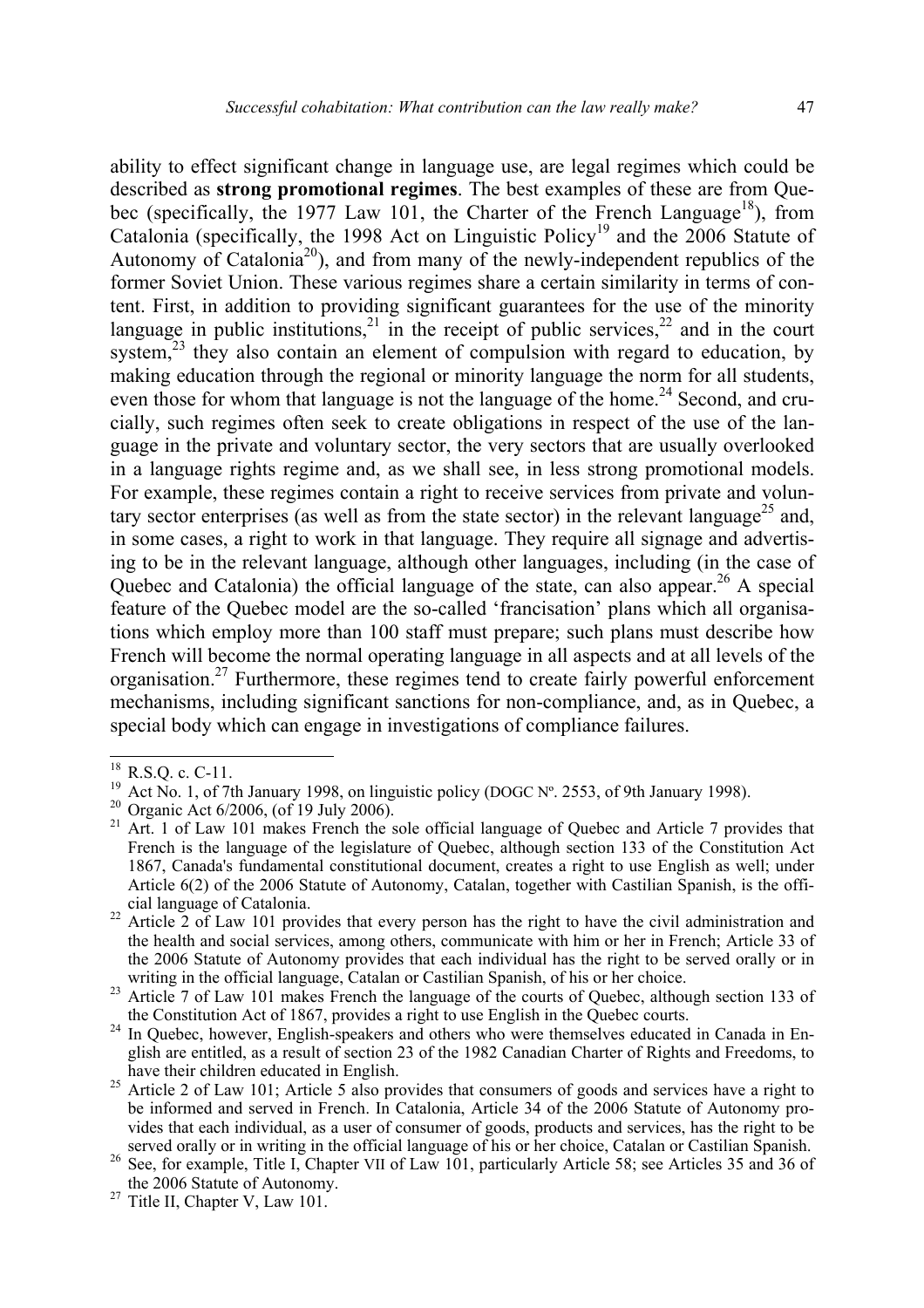ability to effect significant change in language use, are legal regimes which could be described as **strong promotional regimes**. The best examples of these are from Quebec (specifically, the 1977 Law 101, the Charter of the French Language<sup>18</sup>), from Catalonia (specifically, the 1998 Act on Linguistic Policy<sup>19</sup> and the 2006 Statute of Autonomy of Catalonia<sup>20</sup>), and from many of the newly-independent republics of the former Soviet Union. These various regimes share a certain similarity in terms of content. First, in addition to providing significant guarantees for the use of the minority language in public institutions,  $2^{1}$  in the receipt of public services,  $2^{2}$  and in the court system,<sup>23</sup> they also contain an element of compulsion with regard to education, by making education through the regional or minority language the norm for all students, even those for whom that language is not the language of the home.<sup>24</sup> Second, and crucially, such regimes often seek to create obligations in respect of the use of the language in the private and voluntary sector, the very sectors that are usually overlooked in a language rights regime and, as we shall see, in less strong promotional models. For example, these regimes contain a right to receive services from private and voluntary sector enterprises (as well as from the state sector) in the relevant language<sup>25</sup> and, in some cases, a right to work in that language. They require all signage and advertising to be in the relevant language, although other languages, including (in the case of Quebec and Catalonia) the official language of the state, can also appear.<sup>26</sup> A special feature of the Quebec model are the so-called 'francisation' plans which all organisations which employ more than 100 staff must prepare; such plans must describe how French will become the normal operating language in all aspects and at all levels of the organisation.27 Furthermore, these regimes tend to create fairly powerful enforcement mechanisms, including significant sanctions for non-compliance, and, as in Quebec, a special body which can engage in investigations of compliance failures.

 $^{18}$  R.S.Q. c. C-11.

<sup>&</sup>lt;sup>19</sup> Act No. 1, of 7th January 1998, on linguistic policy (DOGC N°. 2553, of 9th January 1998).<br><sup>20</sup> Organic Act 6/2006, (of 19 July 2006).<br><sup>21</sup> Art. 1 of Law 101 makes French the sole official language of Ouebec and Arti

French is the language of the legislature of Quebec, although section 133 of the Constitution Act 1867, Canada's fundamental constitutional document, creates a right to use English as well; under Article 6(2) of the 2006 Statute of Autonomy, Catalan, together with Castilian Spanish, is the offi-

cial language of Catalonia. 22 Article 2 of Law 101 provides that every person has the right to have the civil administration and the health and social services, among others, communicate with him or her in French; Article 33 of the 2006 Statute of Autonomy provides that each individual has the right to be served orally or in writing in the official language. Catalan or Castilian Spanish, of his or her choice.

Article 7 of Law 101 makes French the language of the courts of Quebec, although section 133 of<br>the Constitution Act of 1867, provides a right to use English in the Quebec courts.

 $t^2$ <sup>4</sup> In Quebec, however, English-speakers and others who were themselves educated in Canada in English are entitled, as a result of section 23 of the 1982 Canadian Charter of Rights and Freedoms, to have their children educated in English.<br><sup>25</sup> Article 2 of Law 101; Article 5 also provides that consumers of goods and services have a right to

be informed and served in French. In Catalonia, Article 34 of the 2006 Statute of Autonomy provides that each individual, as a user of consumer of goods, products and services, has the right to be

served orally or in writing in the official language of his or her choice, Catalan or Castilian Spanish.<br><sup>26</sup> See, for example, Title I, Chapter VII of Law 101, particularly Article 58; see Articles 35 and 36 of the 2006 S

 $t^2$ <sup>27</sup> Title II, Chapter V, Law 101.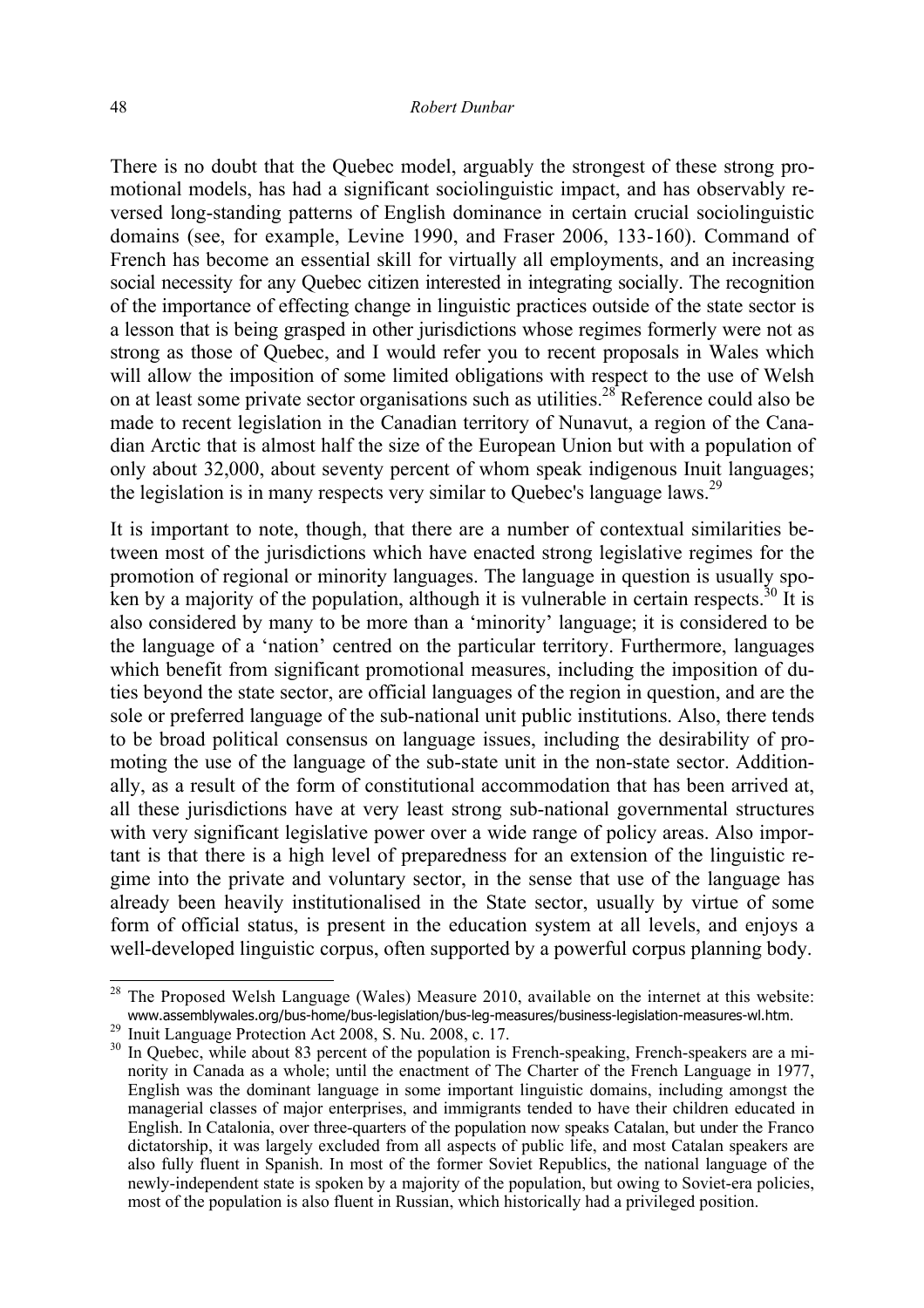There is no doubt that the Quebec model, arguably the strongest of these strong promotional models, has had a significant sociolinguistic impact, and has observably reversed long-standing patterns of English dominance in certain crucial sociolinguistic domains (see, for example, Levine 1990, and Fraser 2006, 133-160). Command of French has become an essential skill for virtually all employments, and an increasing social necessity for any Quebec citizen interested in integrating socially. The recognition of the importance of effecting change in linguistic practices outside of the state sector is a lesson that is being grasped in other jurisdictions whose regimes formerly were not as strong as those of Quebec, and I would refer you to recent proposals in Wales which will allow the imposition of some limited obligations with respect to the use of Welsh on at least some private sector organisations such as utilities.<sup>28</sup> Reference could also be made to recent legislation in the Canadian territory of Nunavut, a region of the Canadian Arctic that is almost half the size of the European Union but with a population of only about 32,000, about seventy percent of whom speak indigenous Inuit languages; the legislation is in many respects very similar to Quebec's language laws.<sup>29</sup>

It is important to note, though, that there are a number of contextual similarities between most of the jurisdictions which have enacted strong legislative regimes for the promotion of regional or minority languages. The language in question is usually spoken by a majority of the population, although it is vulnerable in certain respects.<sup>30</sup> It is also considered by many to be more than a 'minority' language; it is considered to be the language of a 'nation' centred on the particular territory. Furthermore, languages which benefit from significant promotional measures, including the imposition of duties beyond the state sector, are official languages of the region in question, and are the sole or preferred language of the sub-national unit public institutions. Also, there tends to be broad political consensus on language issues, including the desirability of promoting the use of the language of the sub-state unit in the non-state sector. Additionally, as a result of the form of constitutional accommodation that has been arrived at, all these jurisdictions have at very least strong sub-national governmental structures with very significant legislative power over a wide range of policy areas. Also important is that there is a high level of preparedness for an extension of the linguistic regime into the private and voluntary sector, in the sense that use of the language has already been heavily institutionalised in the State sector, usually by virtue of some form of official status, is present in the education system at all levels, and enjoys a well-developed linguistic corpus, often supported by a powerful corpus planning body.

 $28$  The Proposed Welsh Language (Wales) Measure 2010, available on the internet at this website: www.assemblywales.org/bus-home/bus-legislation/bus-leg-measures/business-legislation-measures-wl.htm.<br><sup>29</sup> Inuit Language Protection Act 2008, S. Nu. 2008, c. 17.<br><sup>30</sup> In Quebec, while about 83 percent of the population is

nority in Canada as a whole; until the enactment of The Charter of the French Language in 1977, English was the dominant language in some important linguistic domains, including amongst the managerial classes of major enterprises, and immigrants tended to have their children educated in English. In Catalonia, over three-quarters of the population now speaks Catalan, but under the Franco dictatorship, it was largely excluded from all aspects of public life, and most Catalan speakers are also fully fluent in Spanish. In most of the former Soviet Republics, the national language of the newly-independent state is spoken by a majority of the population, but owing to Soviet-era policies, most of the population is also fluent in Russian, which historically had a privileged position.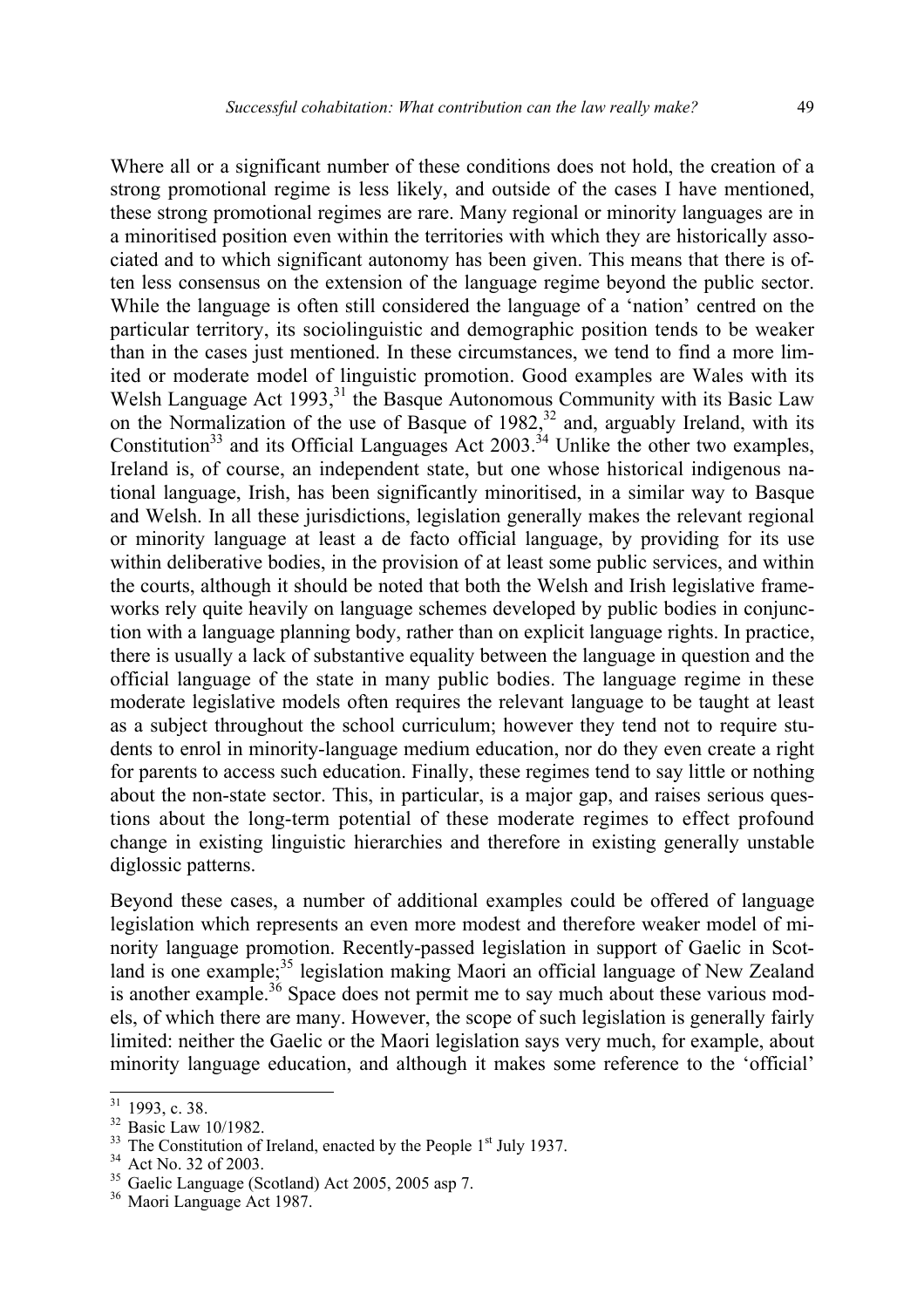Where all or a significant number of these conditions does not hold, the creation of a strong promotional regime is less likely, and outside of the cases I have mentioned, these strong promotional regimes are rare. Many regional or minority languages are in a minoritised position even within the territories with which they are historically associated and to which significant autonomy has been given. This means that there is often less consensus on the extension of the language regime beyond the public sector. While the language is often still considered the language of a 'nation' centred on the particular territory, its sociolinguistic and demographic position tends to be weaker than in the cases just mentioned. In these circumstances, we tend to find a more limited or moderate model of linguistic promotion. Good examples are Wales with its Welsh Language Act  $1993$ ,<sup>31</sup>, the Basque Autonomous Community with its Basic Law on the Normalization of the use of Basque of  $1982$ ,<sup>32</sup> and, arguably Ireland, with its Constitution<sup>33</sup> and its Official Languages Act 2003.<sup>34</sup> Unlike the other two examples, Ireland is, of course, an independent state, but one whose historical indigenous national language, Irish, has been significantly minoritised, in a similar way to Basque and Welsh. In all these jurisdictions, legislation generally makes the relevant regional or minority language at least a de facto official language, by providing for its use within deliberative bodies, in the provision of at least some public services, and within the courts, although it should be noted that both the Welsh and Irish legislative frameworks rely quite heavily on language schemes developed by public bodies in conjunction with a language planning body, rather than on explicit language rights. In practice, there is usually a lack of substantive equality between the language in question and the official language of the state in many public bodies. The language regime in these moderate legislative models often requires the relevant language to be taught at least as a subject throughout the school curriculum; however they tend not to require students to enrol in minority-language medium education, nor do they even create a right for parents to access such education. Finally, these regimes tend to say little or nothing about the non-state sector. This, in particular, is a major gap, and raises serious questions about the long-term potential of these moderate regimes to effect profound change in existing linguistic hierarchies and therefore in existing generally unstable diglossic patterns.

Beyond these cases, a number of additional examples could be offered of language legislation which represents an even more modest and therefore weaker model of minority language promotion. Recently-passed legislation in support of Gaelic in Scotland is one example;<sup>35</sup> legislation making Maori an official language of New Zealand is another example.<sup>36</sup> Space does not permit me to say much about these various models, of which there are many. However, the scope of such legislation is generally fairly limited: neither the Gaelic or the Maori legislation says very much, for example, about minority language education, and although it makes some reference to the 'official'

 $31$  1993, c. 38.

<sup>32</sup> Basic Law 10/1982.

 $33 \text{ The Constitution of Ireland, enacted by the People } 1^{\text{st}}$  July 1937.<br><sup>34</sup> Act No. 32 of 2003.

<sup>&</sup>lt;sup>35</sup> Gaelic Language (Scotland) Act 2005, 2005 asp 7.<br><sup>36</sup> Maori Language Act 1987.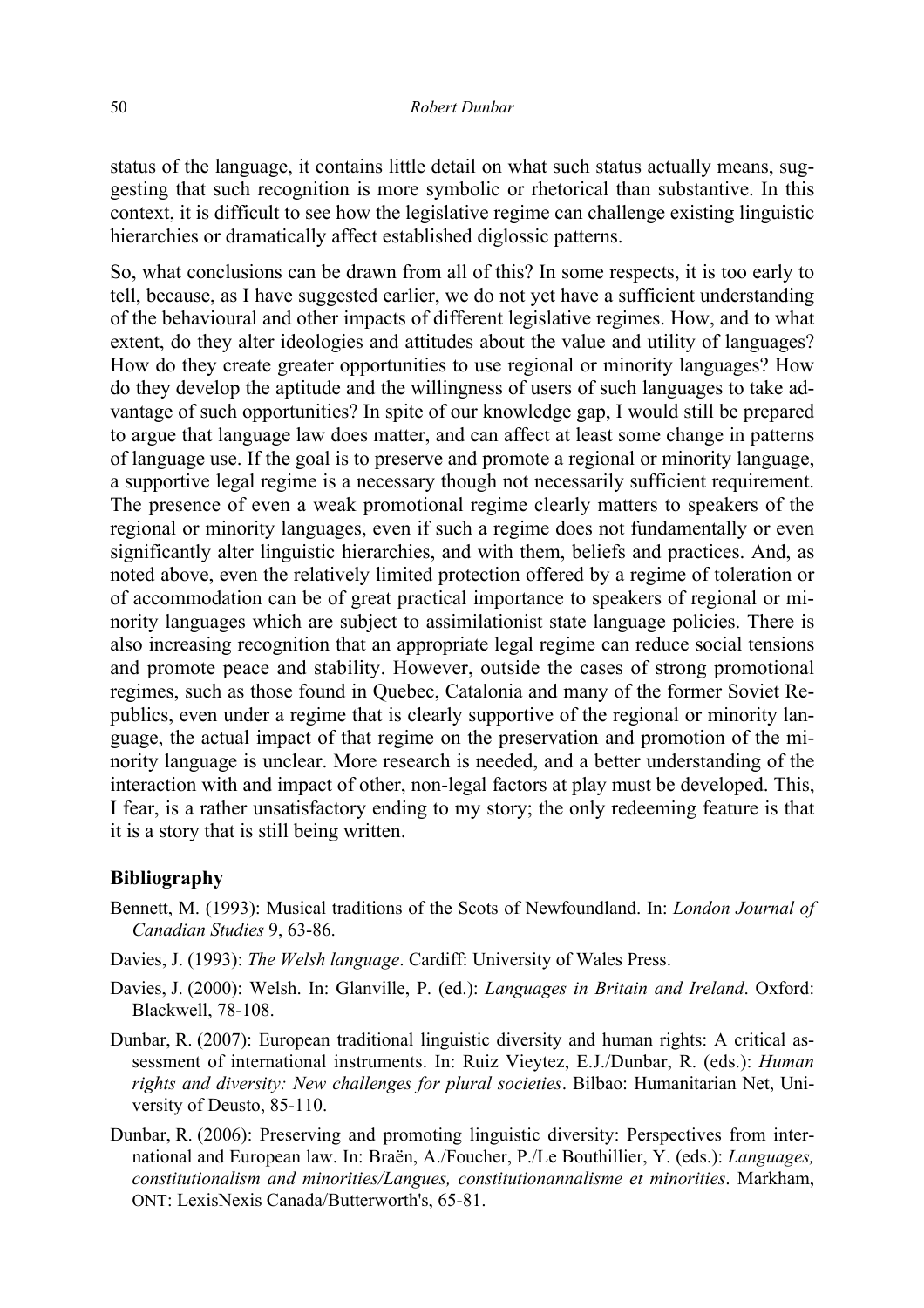status of the language, it contains little detail on what such status actually means, suggesting that such recognition is more symbolic or rhetorical than substantive. In this context, it is difficult to see how the legislative regime can challenge existing linguistic hierarchies or dramatically affect established diglossic patterns.

So, what conclusions can be drawn from all of this? In some respects, it is too early to tell, because, as I have suggested earlier, we do not yet have a sufficient understanding of the behavioural and other impacts of different legislative regimes. How, and to what extent, do they alter ideologies and attitudes about the value and utility of languages? How do they create greater opportunities to use regional or minority languages? How do they develop the aptitude and the willingness of users of such languages to take advantage of such opportunities? In spite of our knowledge gap, I would still be prepared to argue that language law does matter, and can affect at least some change in patterns of language use. If the goal is to preserve and promote a regional or minority language, a supportive legal regime is a necessary though not necessarily sufficient requirement. The presence of even a weak promotional regime clearly matters to speakers of the regional or minority languages, even if such a regime does not fundamentally or even significantly alter linguistic hierarchies, and with them, beliefs and practices. And, as noted above, even the relatively limited protection offered by a regime of toleration or of accommodation can be of great practical importance to speakers of regional or minority languages which are subject to assimilationist state language policies. There is also increasing recognition that an appropriate legal regime can reduce social tensions and promote peace and stability. However, outside the cases of strong promotional regimes, such as those found in Quebec, Catalonia and many of the former Soviet Republics, even under a regime that is clearly supportive of the regional or minority language, the actual impact of that regime on the preservation and promotion of the minority language is unclear. More research is needed, and a better understanding of the interaction with and impact of other, non-legal factors at play must be developed. This, I fear, is a rather unsatisfactory ending to my story; the only redeeming feature is that it is a story that is still being written.

## **Bibliography**

- Bennett, M. (1993): Musical traditions of the Scots of Newfoundland. In: *London Journal of Canadian Studies* 9, 63-86.
- Davies, J. (1993): *The Welsh language*. Cardiff: University of Wales Press.
- Davies, J. (2000): Welsh. In: Glanville, P. (ed.): *Languages in Britain and Ireland*. Oxford: Blackwell, 78-108.
- Dunbar, R. (2007): European traditional linguistic diversity and human rights: A critical assessment of international instruments. In: Ruiz Vieytez, E.J./Dunbar, R. (eds.): *Human rights and diversity: New challenges for plural societies*. Bilbao: Humanitarian Net, University of Deusto, 85-110.
- Dunbar, R. (2006): Preserving and promoting linguistic diversity: Perspectives from international and European law. In: Braën, A./Foucher, P./Le Bouthillier, Y. (eds.): *Languages, constitutionalism and minorities/Langues, constitutionannalisme et minorities*. Markham, ONT: LexisNexis Canada/Butterworth's, 65-81.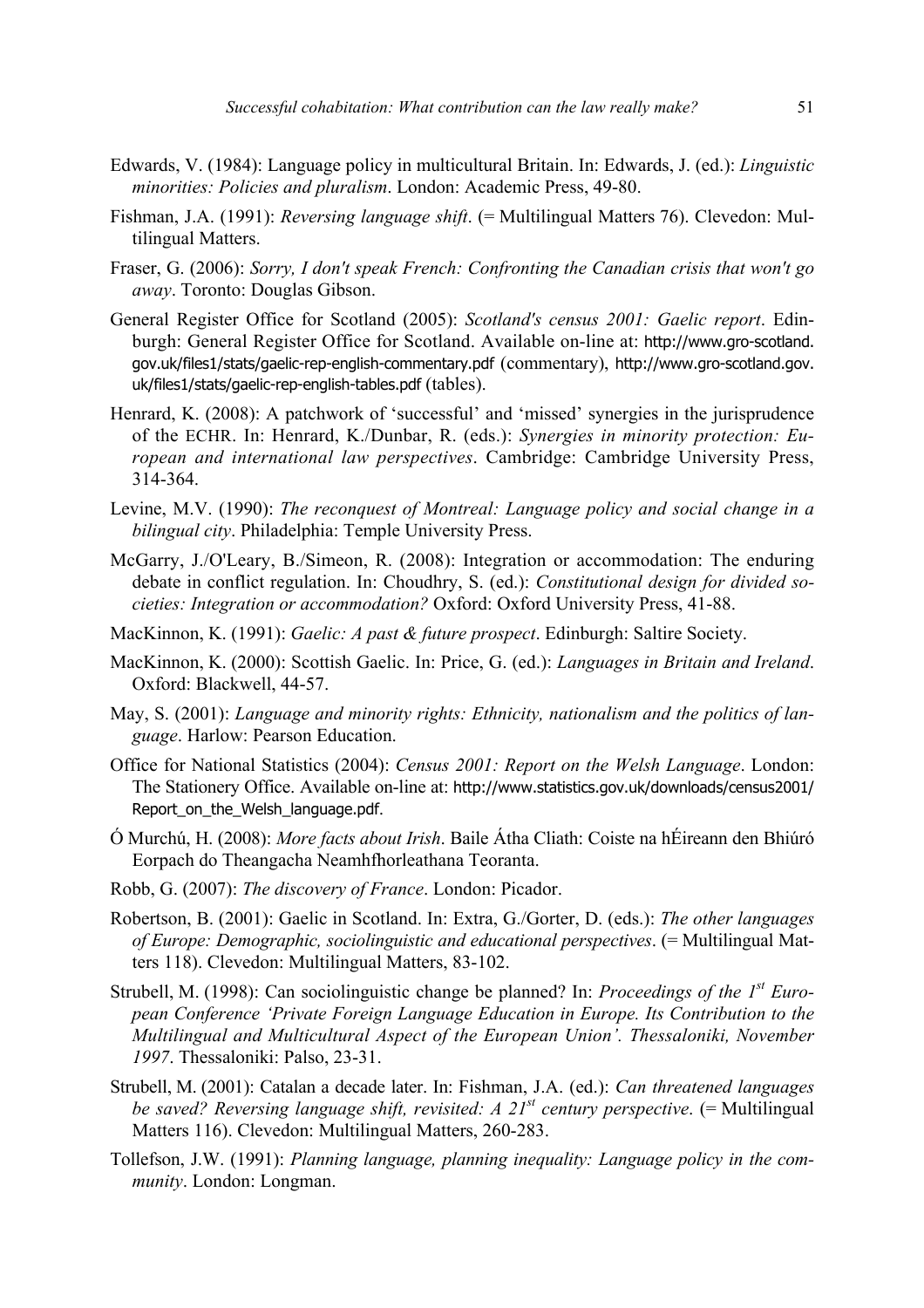- Edwards, V. (1984): Language policy in multicultural Britain. In: Edwards, J. (ed.): *Linguistic minorities: Policies and pluralism*. London: Academic Press, 49-80.
- Fishman, J.A. (1991): *Reversing language shift*. (= Multilingual Matters 76). Clevedon: Multilingual Matters.
- Fraser, G. (2006): *Sorry, I don't speak French: Confronting the Canadian crisis that won't go away*. Toronto: Douglas Gibson.
- General Register Office for Scotland (2005): *Scotland's census 2001: Gaelic report*. Edinburgh: General Register Office for Scotland. Available on-line at: http://www.gro-scotland. gov.uk/files1/stats/gaelic-rep-english-commentary.pdf (commentary), http://www.gro-scotland.gov. uk/files1/stats/gaelic-rep-english-tables.pdf (tables).
- Henrard, K. (2008): A patchwork of 'successful' and 'missed' synergies in the jurisprudence of the ECHR. In: Henrard, K./Dunbar, R. (eds.): *Synergies in minority protection: European and international law perspectives*. Cambridge: Cambridge University Press, 314-364.
- Levine, M.V. (1990): *The reconquest of Montreal: Language policy and social change in a bilingual city*. Philadelphia: Temple University Press.
- McGarry, J./O'Leary, B./Simeon, R. (2008): Integration or accommodation: The enduring debate in conflict regulation. In: Choudhry, S. (ed.): *Constitutional design for divided societies: Integration or accommodation?* Oxford: Oxford University Press, 41-88.
- MacKinnon, K. (1991): *Gaelic: A past & future prospect*. Edinburgh: Saltire Society.
- MacKinnon, K. (2000): Scottish Gaelic. In: Price, G. (ed.): *Languages in Britain and Ireland*. Oxford: Blackwell, 44-57.
- May, S. (2001): *Language and minority rights: Ethnicity, nationalism and the politics of language*. Harlow: Pearson Education.
- Office for National Statistics (2004): *Census 2001: Report on the Welsh Language*. London: The Stationery Office. Available on-line at: http://www.statistics.gov.uk/downloads/census2001/ Report\_on\_the\_Welsh\_language.pdf.
- Ó Murchú, H. (2008): *More facts about Irish*. Baile Átha Cliath: Coiste na hÉireann den Bhiúró Eorpach do Theangacha Neamhfhorleathana Teoranta.
- Robb, G. (2007): *The discovery of France*. London: Picador.
- Robertson, B. (2001): Gaelic in Scotland. In: Extra, G./Gorter, D. (eds.): *The other languages of Europe: Demographic, sociolinguistic and educational perspectives*. (= Multilingual Matters 118). Clevedon: Multilingual Matters, 83-102.
- Strubell, M. (1998): Can sociolinguistic change be planned? In: *Proceedings of the 1st European Conference 'Private Foreign Language Education in Europe. Its Contribution to the Multilingual and Multicultural Aspect of the European Union'. Thessaloniki, November 1997*. Thessaloniki: Palso, 23-31.
- Strubell, M. (2001): Catalan a decade later. In: Fishman, J.A. (ed.): *Can threatened languages be saved? Reversing language shift, revisited: A 21st century perspective*. (= Multilingual Matters 116). Clevedon: Multilingual Matters, 260-283.
- Tollefson, J.W. (1991): *Planning language, planning inequality: Language policy in the community*. London: Longman.